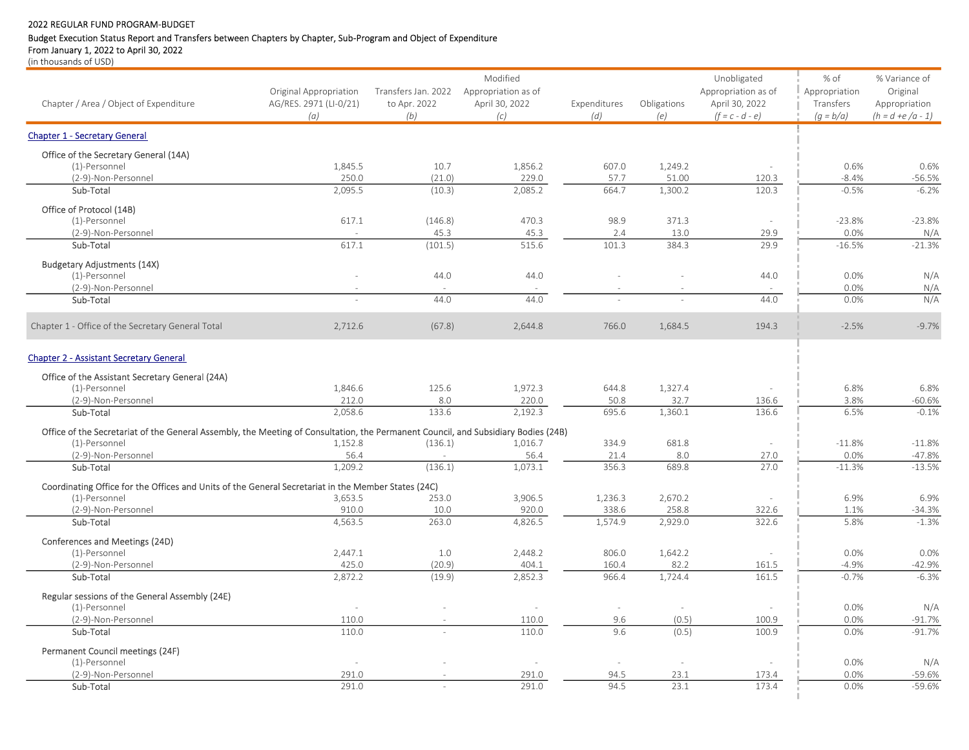# Budget Execution Status Report and Transfers between Chapters by Chapter, Sub-Program and Object of Expenditure

From January 1, 2022 to April 30, 2022

|                                                                                                                                    |                        |                     | Modified            |              |             | Unobligated         | % of          | % Variance of       |
|------------------------------------------------------------------------------------------------------------------------------------|------------------------|---------------------|---------------------|--------------|-------------|---------------------|---------------|---------------------|
|                                                                                                                                    | Original Appropriation | Transfers Jan. 2022 | Appropriation as of |              |             | Appropriation as of | Appropriation | Original            |
| Chapter / Area / Object of Expenditure                                                                                             | AG/RES. 2971 (LI-0/21) | to Apr. 2022        | April 30, 2022      | Expenditures | Obligations | April 30, 2022      | Transfers     | Appropriation       |
|                                                                                                                                    | (a)                    | (b)                 | (c)                 | (d)          | (e)         | $(f = c - d - e)$   | $(g = b/a)$   | $(h = d + e/a - 1)$ |
| <b>Chapter 1 - Secretary General</b>                                                                                               |                        |                     |                     |              |             |                     |               |                     |
| Office of the Secretary General (14A)                                                                                              |                        |                     |                     |              |             |                     |               |                     |
| (1)-Personnel                                                                                                                      | 1,845.5                | 10.7                | 1,856.2             | 607.0        | 1,249.2     |                     | 0.6%          | 0.6%                |
| (2-9)-Non-Personnel                                                                                                                | 250.0                  | (21.0)              | 229.0               | 57.7         | 51.00       | 120.3               | $-8.4%$       | $-56.5%$            |
| Sub-Total                                                                                                                          | 2,095.5                | (10.3)              | 2,085.2             | 664.7        | 1,300.2     | 120.3               | $-0.5%$       | $-6.2%$             |
| Office of Protocol (14B)                                                                                                           |                        |                     |                     |              |             |                     |               |                     |
| (1)-Personnel                                                                                                                      | 617.1                  | (146.8)             | 470.3               | 98.9         | 371.3       |                     | $-23.8%$      | $-23.8%$            |
| (2-9)-Non-Personnel                                                                                                                |                        | 45.3                | 45.3                | 2.4          | 13.0        | 29.9                | 0.0%          | N/A                 |
| Sub-Total                                                                                                                          | 617.1                  | (101.5)             | 515.6               | 101.3        | 384.3       | 29.9                | $-16.5%$      | $-21.3%$            |
| <b>Budgetary Adjustments (14X)</b>                                                                                                 |                        |                     |                     |              |             |                     |               |                     |
| (1)-Personnel                                                                                                                      |                        | 44.0                | 44.0                |              |             | 44.0                | 0.0%          | N/A                 |
| (2-9)-Non-Personnel                                                                                                                |                        |                     |                     |              |             |                     | 0.0%          | N/A                 |
| Sub-Total                                                                                                                          |                        | 44.0                | 44.0                |              |             | 44.0                | 0.0%          | N/A                 |
| Chapter 1 - Office of the Secretary General Total                                                                                  | 2,712.6                | (67.8)              | 2,644.8             | 766.0        | 1,684.5     | 194.3               | $-2.5%$       | $-9.7%$             |
| <b>Chapter 2 - Assistant Secretary General</b>                                                                                     |                        |                     |                     |              |             |                     |               |                     |
| Office of the Assistant Secretary General (24A)                                                                                    |                        |                     |                     |              |             |                     |               |                     |
| (1)-Personnel                                                                                                                      | 1,846.6                | 125.6               | 1,972.3             | 644.8        | 1,327.4     |                     | 6.8%          | 6.8%                |
| (2-9)-Non-Personnel                                                                                                                | 212.0                  | 8.0                 | 220.0               | 50.8         | 32.7        | 136.6               | 3.8%          | $-60.6%$            |
| Sub-Total                                                                                                                          | 2,058.6                | 133.6               | 2,192.3             | 695.6        | 1,360.1     | 136.6               | 6.5%          | $-0.1%$             |
| Office of the Secretariat of the General Assembly, the Meeting of Consultation, the Permanent Council, and Subsidiary Bodies (24B) |                        |                     |                     |              |             |                     |               |                     |
| (1)-Personnel                                                                                                                      | 1,152.8                | (136.1)             | 1,016.7             | 334.9        | 681.8       | ä,                  | $-11.8%$      | $-11.8%$            |
| (2-9)-Non-Personnel                                                                                                                | 56.4                   |                     | 56.4                | 21.4         | 8.0         | 27.0                | 0.0%          | $-47.8%$            |
| Sub-Total                                                                                                                          | 1,209.2                | (136.1)             | 1,073.1             | 356.3        | 689.8       | 27.0                | $-11.3%$      | $-13.5%$            |
| Coordinating Office for the Offices and Units of the General Secretariat in the Member States (24C)                                |                        |                     |                     |              |             |                     |               |                     |
| (1)-Personnel                                                                                                                      | 3,653.5                | 253.0               | 3,906.5             | 1,236.3      | 2,670.2     |                     | 6.9%          | 6.9%                |
| (2-9)-Non-Personnel                                                                                                                | 910.0                  | 10.0                | 920.0               | 338.6        | 258.8       | 322.6               | 1.1%          | $-34.3%$            |
| Sub-Total                                                                                                                          | 4,563.5                | 263.0               | 4,826.5             | 1,574.9      | 2,929.0     | 322.6               | 5.8%          | $-1.3%$             |
| Conferences and Meetings (24D)                                                                                                     |                        |                     |                     |              |             |                     |               |                     |
| (1)-Personnel                                                                                                                      | 2,447.1                | 1.0                 | 2,448.2             | 806.0        | 1,642.2     |                     | 0.0%          | 0.0%                |
| (2-9)-Non-Personnel                                                                                                                | 425.0                  | (20.9)              | 404.1               | 160.4        | 82.2        | 161.5               | $-4.9%$       | $-42.9%$            |
| Sub-Total                                                                                                                          | 2.872.2                | (19.9)              | 2.852.3             | 966.4        | 1,724.4     | 161.5               | $-0.7%$       | $-6.3%$             |
| Regular sessions of the General Assembly (24E)                                                                                     |                        |                     |                     |              |             |                     |               |                     |
| (1)-Personnel                                                                                                                      | $\sim$                 |                     | $\sim$              | $\sim$       | $\sim$      | $\sim$              | 0.0%          | N/A                 |
| (2-9)-Non-Personnel                                                                                                                | 110.0                  |                     | 110.0               | 9.6          | (0.5)       | 100.9               | 0.0%          | $-91.7%$            |
| Sub-Total                                                                                                                          | 110.0                  |                     | 110.0               | 9.6          | (0.5)       | 100.9               | 0.0%          | $-91.7%$            |
| Permanent Council meetings (24F)                                                                                                   |                        |                     |                     |              |             |                     |               |                     |
| (1)-Personnel                                                                                                                      | $\sim$                 |                     |                     |              | $\sim$      |                     | 0.0%          | N/A                 |
| (2-9)-Non-Personnel                                                                                                                | 291.0                  |                     | 291.0               | 94.5         | 23.1        | 173.4               | 0.0%          | $-59.6%$            |
| Sub-Total                                                                                                                          | 291.0                  |                     | 291.0               | 94.5         | 23.1        | 173.4               | 0.0%          | $-59.6%$            |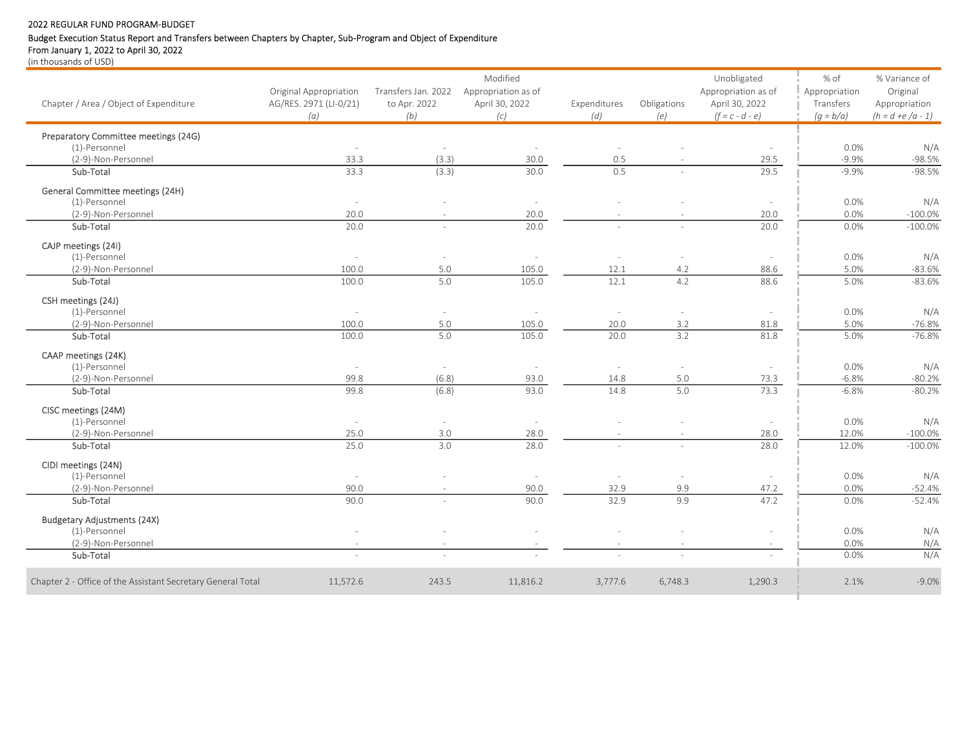# Budget Execution Status Report and Transfers between Chapters by Chapter, Sub-Program and Object of Expenditure

From January 1, 2022 to April 30, 2022

|                                                             |                          |                     | Modified                 |                          |                          | Unobligated              | % of          | % Variance of       |
|-------------------------------------------------------------|--------------------------|---------------------|--------------------------|--------------------------|--------------------------|--------------------------|---------------|---------------------|
|                                                             | Original Appropriation   | Transfers Jan. 2022 | Appropriation as of      |                          |                          | Appropriation as of      | Appropriation | Original            |
| Chapter / Area / Object of Expenditure                      | AG/RES. 2971 (LI-0/21)   | to Apr. 2022        | April 30, 2022           | Expenditures             | Obligations              | April 30, 2022           | Transfers     | Appropriation       |
|                                                             | (a)                      | (b)                 | (c)                      | (d)                      | (e)                      | $(f = c - d - e)$        | $(q = b/a)$   | $(h = d + e/a - 1)$ |
| Preparatory Committee meetings (24G)                        |                          |                     |                          |                          |                          |                          |               |                     |
| (1)-Personnel                                               | ÷.                       | ÷                   |                          |                          |                          |                          | 0.0%          | N/A                 |
| (2-9)-Non-Personnel                                         | 33.3                     | (3.3)               | 30.0                     | 0.5                      |                          | 29.5                     | $-9.9%$       | $-98.5%$            |
| Sub-Total                                                   | 33.3                     | (3.3)               | 30.0                     | 0.5                      |                          | 29.5                     | $-9.9%$       | $-98.5%$            |
| General Committee meetings (24H)                            |                          |                     |                          |                          |                          |                          |               |                     |
| (1)-Personnel                                               | $\sim$                   |                     | $\sim$                   |                          |                          | $\sim$                   | 0.0%          | N/A                 |
| (2-9)-Non-Personnel                                         | 20.0                     |                     | 20.0                     |                          |                          | 20.0                     | 0.0%          | $-100.0%$           |
| Sub-Total                                                   | 20.0                     | ÷                   | 20.0                     |                          |                          | 20.0                     | 0.0%          | $-100.0\%$          |
| CAJP meetings (24I)                                         |                          |                     |                          |                          |                          |                          |               |                     |
| (1)-Personnel                                               | $\overline{\phantom{a}}$ | $\sim$              | $\overline{\phantom{a}}$ | $\overline{\phantom{a}}$ | $\overline{\phantom{a}}$ | $\overline{\phantom{a}}$ | 0.0%          | N/A                 |
| (2-9)-Non-Personnel                                         | 100.0                    | 5.0                 | 105.0                    | 12.1                     | 4.2                      | 88.6                     | 5.0%          | $-83.6%$            |
| Sub-Total                                                   | 100.0                    | 5.0                 | 105.0                    | 12.1                     | 4.2                      | 88.6                     | 5.0%          | $-83.6%$            |
| CSH meetings (24J)                                          |                          |                     |                          |                          |                          |                          |               |                     |
| (1)-Personnel                                               | $\sim$                   | $\sim$              | $\overline{\phantom{a}}$ | $\overline{\phantom{a}}$ |                          | $\overline{\phantom{a}}$ | 0.0%          | N/A                 |
| (2-9)-Non-Personnel                                         | 100.0                    | 5.0                 | 105.0                    | 20.0                     | 3.2                      | 81.8                     | 5.0%          | $-76.8%$            |
| Sub-Total                                                   | 100.0                    | 5.0                 | 105.0                    | 20.0                     | 3.2                      | 81.8                     | 5.0%          | $-76.8%$            |
| CAAP meetings (24K)                                         |                          |                     |                          |                          |                          |                          |               |                     |
| (1)-Personnel                                               | $\sim$                   | ä,                  |                          |                          |                          |                          | 0.0%          | N/A                 |
| (2-9)-Non-Personnel                                         | 99.8                     | (6.8)               | 93.0                     | 14.8                     | 5.0                      | 73.3                     | $-6.8%$       | $-80.2%$            |
| Sub-Total                                                   | 99.8                     | (6.8)               | 93.0                     | 14.8                     | 5.0                      | 73.3                     | $-6.8%$       | $-80.2%$            |
| CISC meetings (24M)                                         |                          |                     |                          |                          |                          |                          |               |                     |
| (1)-Personnel                                               | $\sim$                   | $\sim$              | $\sim$                   |                          |                          | $\sim$                   | 0.0%          | N/A                 |
| (2-9)-Non-Personnel                                         | 25.0                     | 3.0                 | 28.0                     |                          |                          | 28.0                     | 12.0%         | $-100.0%$           |
| Sub-Total                                                   | 25.0                     | 3.0                 | 28.0                     |                          |                          | 28.0                     | 12.0%         | $-100.0\%$          |
| CIDI meetings (24N)                                         |                          |                     |                          |                          |                          |                          |               |                     |
| (1)-Personnel                                               | $\sim$                   |                     | $\sim$                   |                          |                          |                          | 0.0%          | N/A                 |
| (2-9)-Non-Personnel                                         | 90.0                     |                     | 90.0                     | 32.9                     | 9.9                      | 47.2                     | 0.0%          | $-52.4%$            |
| Sub-Total                                                   | 90.0                     |                     | 90.0                     | 32.9                     | 9.9                      | 47.2                     | 0.0%          | $-52.4%$            |
| <b>Budgetary Adjustments (24X)</b>                          |                          |                     |                          |                          |                          |                          |               |                     |
| (1)-Personnel                                               |                          |                     |                          |                          |                          |                          | 0.0%          | N/A                 |
| (2-9)-Non-Personnel                                         |                          |                     |                          |                          |                          |                          | 0.0%          | N/A                 |
| Sub-Total                                                   | $\sim$                   | $\sim$              |                          | $\sim$                   | $\sim$                   |                          | 0.0%          | N/A                 |
| Chapter 2 - Office of the Assistant Secretary General Total | 11,572.6                 | 243.5               | 11,816.2                 | 3,777.6                  | 6,748.3                  | 1,290.3                  | 2.1%          | $-9.0%$             |
|                                                             |                          |                     |                          |                          |                          |                          |               |                     |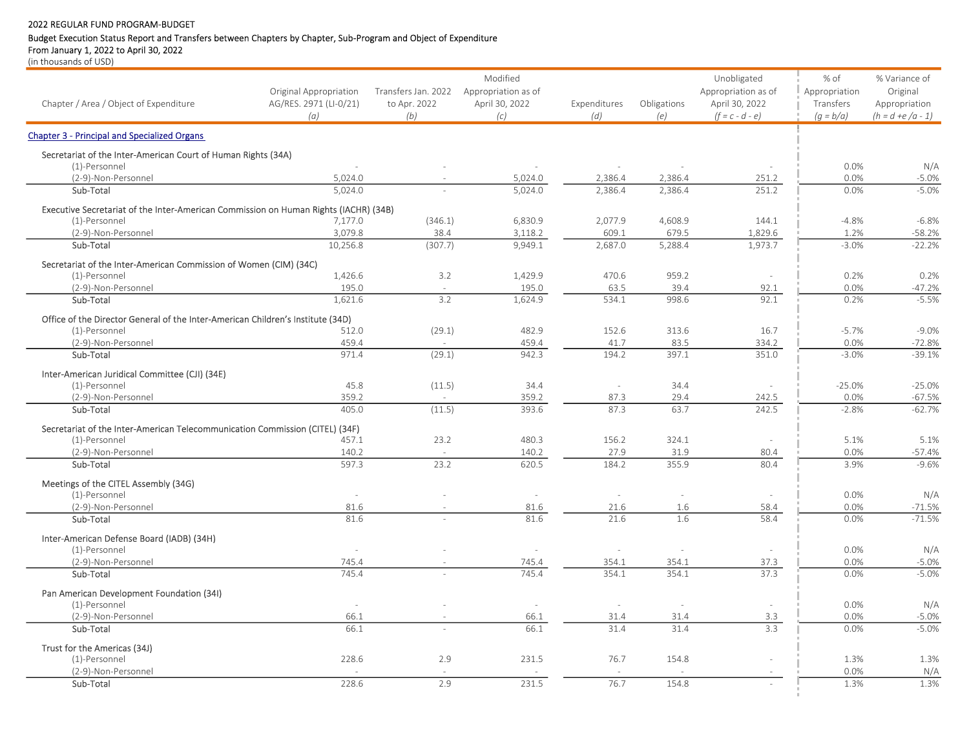# Budget Execution Status Report and Transfers between Chapters by Chapter, Sub-Program and Object of Expenditure

From January 1, 2022 to April 30, 2022

|                                                                                      |                        |                     | Modified            |              |               | Unobligated         | % of          | % Variance of       |
|--------------------------------------------------------------------------------------|------------------------|---------------------|---------------------|--------------|---------------|---------------------|---------------|---------------------|
|                                                                                      | Original Appropriation | Transfers Jan. 2022 | Appropriation as of |              |               | Appropriation as of | Appropriation | Original            |
| Chapter / Area / Object of Expenditure                                               | AG/RES. 2971 (LI-0/21) | to Apr. 2022        | April 30, 2022      | Expenditures | Obligations   | April 30, 2022      | Transfers     | Appropriation       |
|                                                                                      | (a)                    | (b)                 | (c)                 | (d)          | (e)           | $(f = c - d - e)$   | $(q = b/a)$   | $(h = d + e/a - 1)$ |
| <b>Chapter 3 - Principal and Specialized Organs</b>                                  |                        |                     |                     |              |               |                     |               |                     |
| Secretariat of the Inter-American Court of Human Rights (34A)                        |                        |                     |                     |              |               |                     |               |                     |
| (1)-Personnel                                                                        |                        |                     |                     |              |               |                     | 0.0%          | N/A                 |
| (2-9)-Non-Personnel                                                                  | 5,024.0                |                     | 5,024.0             | 2,386.4      | 2,386.4       | 251.2               | 0.0%          | $-5.0%$             |
| Sub-Total                                                                            | 5,024.0                |                     | 5,024.0             | 2,386.4      | 2,386.4       | 251.2               | 0.0%          | $-5.0%$             |
| Executive Secretariat of the Inter-American Commission on Human Rights (IACHR) (34B) |                        |                     |                     |              |               |                     |               |                     |
| (1)-Personnel                                                                        | 7,177.0                | (346.1)             | 6,830.9             | 2,077.9      | 4,608.9       | 144.1               | $-4.8%$       | $-6.8%$             |
| (2-9)-Non-Personnel                                                                  | 3.079.8                | 38.4                | 3,118.2             | 609.1        | 679.5         | 1,829.6             | 1.2%          | $-58.2%$            |
| Sub-Total                                                                            | 10.256.8               | (307.7)             | 9.949.1             | 2.687.0      | 5,288.4       | 1.973.7             | $-3.0%$       | $-22.2%$            |
| Secretariat of the Inter-American Commission of Women (CIM) (34C)                    |                        |                     |                     |              |               |                     |               |                     |
| (1)-Personnel                                                                        | 1,426.6                | 3.2                 | 1,429.9             | 470.6        | 959.2         | $\sim$              | 0.2%          | 0.2%                |
| (2-9)-Non-Personnel                                                                  | 195.0                  |                     | 195.0               | 63.5         | 39.4<br>998.6 | 92.1                | 0.0%          | $-47.2%$            |
| Sub-Total                                                                            | 1.621.6                | 3.2                 | 1,624.9             | 534.1        |               | 92.1                | 0.2%          | $-5.5%$             |
| Office of the Director General of the Inter-American Children's Institute (34D)      |                        |                     |                     |              |               |                     |               |                     |
| (1)-Personnel                                                                        | 512.0                  | (29.1)              | 482.9               | 152.6        | 313.6         | 16.7                | $-5.7%$       | $-9.0%$             |
| (2-9)-Non-Personnel                                                                  | 459.4                  |                     | 459.4               | 41.7         | 83.5          | 334.2               | 0.0%          | $-72.8%$            |
| Sub-Total                                                                            | 971.4                  | (29.1)              | 942.3               | 194.2        | 397.1         | 351.0               | $-3.0%$       | $-39.1%$            |
| Inter-American Juridical Committee (CJI) (34E)                                       |                        |                     |                     |              |               |                     |               |                     |
| (1)-Personnel                                                                        | 45.8                   | (11.5)              | 34.4                | ÷            | 34.4          |                     | $-25.0%$      | $-25.0%$            |
| (2-9)-Non-Personnel                                                                  | 359.2                  |                     | 359.2               | 87.3         | 29.4          | 242.5               | 0.0%          | $-67.5%$            |
| Sub-Total                                                                            | 405.0                  | (11.5)              | 393.6               | 87.3         | 63.7          | 242.5               | $-2.8%$       | $-62.7%$            |
| Secretariat of the Inter-American Telecommunication Commission (CITEL) (34F)         |                        |                     |                     |              |               |                     |               |                     |
| (1)-Personnel                                                                        | 457.1                  | 23.2                | 480.3               | 156.2        | 324.1         | ÷.                  | 5.1%          | 5.1%                |
| (2-9)-Non-Personnel                                                                  | 140.2                  |                     | 140.2               | 27.9         | 31.9          | 80.4                | 0.0%          | $-57.4%$            |
| Sub-Total                                                                            | 597.3                  | 23.2                | 620.5               | 184.2        | 355.9         | 80.4                | 3.9%          | $-9.6%$             |
| Meetings of the CITEL Assembly (34G)                                                 |                        |                     |                     |              |               |                     |               |                     |
| (1)-Personnel                                                                        |                        |                     |                     |              |               |                     | 0.0%          | N/A                 |
| (2-9)-Non-Personnel                                                                  | 81.6                   |                     | 81.6                | 21.6         | 1.6           | 58.4                | 0.0%          | $-71.5%$            |
| Sub-Total                                                                            | 81.6                   |                     | 81.6                | 21.6         | 1.6           | 58.4                | 0.0%          | $-71.5%$            |
| Inter-American Defense Board (IADB) (34H)                                            |                        |                     |                     |              |               |                     |               |                     |
| (1)-Personnel                                                                        | $\overline{a}$         |                     | ÷.                  | ÷            | ÷.            | $\overline{a}$      | 0.0%          | N/A                 |
| (2-9)-Non-Personnel                                                                  | 745.4                  |                     | 745.4               | 354.1        | 354.1         | 37.3                | 0.0%          | $-5.0%$             |
| Sub-Total                                                                            | 745.4                  |                     | 745.4               | 354.1        | 354.1         | 37.3                | 0.0%          | $-5.0%$             |
| Pan American Development Foundation (34I)                                            |                        |                     |                     |              |               |                     |               |                     |
| (1)-Personnel                                                                        | $\sim$                 |                     | $\sim$              | $\sim$       | $\sim$        |                     | 0.0%          | N/A                 |
| (2-9)-Non-Personnel                                                                  | 66.1                   |                     | 66.1                | 31.4         | 31.4          | 3.3                 | 0.0%          | $-5.0%$             |
| Sub-Total                                                                            | 66.1                   |                     | 66.1                | 31.4         | 31.4          | 3.3                 | 0.0%          | $-5.0%$             |
| Trust for the Americas (34J)                                                         |                        |                     |                     |              |               |                     |               |                     |
| (1)-Personnel                                                                        | 228.6                  | 2.9                 | 231.5               | 76.7         | 154.8         |                     | 1.3%          | 1.3%                |
| (2-9)-Non-Personnel                                                                  |                        |                     |                     |              |               |                     | 0.0%          | N/A                 |
| Sub-Total                                                                            | 228.6                  | 2.9                 | 231.5               | 76.7         | 154.8         |                     | 1.3%          | 1.3%                |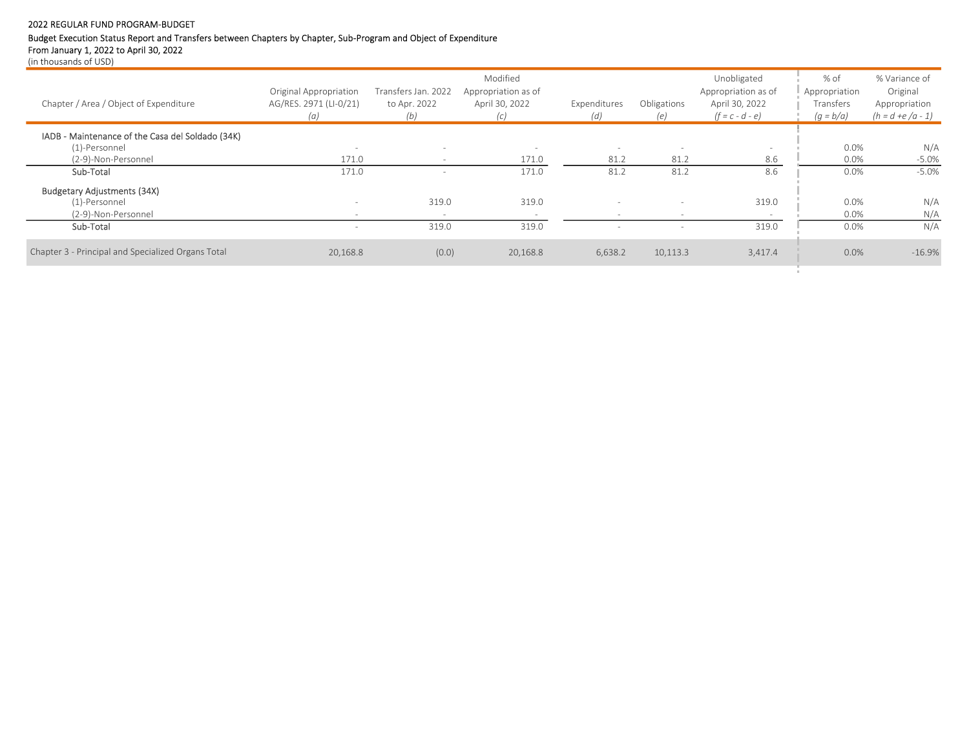# Budget Execution Status Report and Transfers between Chapters by Chapter, Sub-Program and Object of Expenditure

From January 1, 2022 to April 30, 2022

| Chapter / Area / Object of Expenditure                                                   | Original Appropriation<br>AG/RES. 2971 (LI-0/21)<br>(a) | Transfers Jan. 2022<br>to Apr. 2022<br>(b)           | Modified<br>Appropriation as of<br>April 30, 2022<br>(C) | Expenditures<br>(d)              | Obligations<br>(e)               | Unobligated<br>Appropriation as of<br>April 30, 2022<br>$(f = c - d - e)$ | % of<br>Appropriation<br>Transfers<br>$(g = b/a)$ | % Variance of<br>Original<br>Appropriation<br>$(h = d + e/a - 1)$ |
|------------------------------------------------------------------------------------------|---------------------------------------------------------|------------------------------------------------------|----------------------------------------------------------|----------------------------------|----------------------------------|---------------------------------------------------------------------------|---------------------------------------------------|-------------------------------------------------------------------|
| IADB - Maintenance of the Casa del Soldado (34K)<br>(1)-Personnel<br>(2-9)-Non-Personnel | 171.0                                                   | $\overline{\phantom{a}}$<br>$\overline{\phantom{a}}$ | $\overline{\phantom{0}}$<br>171.0                        | $\overline{\phantom{0}}$<br>81.2 | $\overline{\phantom{0}}$<br>81.2 | 8.6                                                                       | 0.0%<br>0.0%                                      | N/A<br>$-5.0%$                                                    |
| Sub-Total                                                                                | 171.0                                                   |                                                      | 171.0                                                    | 81.2                             | 81.2                             | 8.6                                                                       | 0.0%                                              | $-5.0%$                                                           |
| <b>Budgetary Adjustments (34X)</b><br>(1)-Personnel<br>(2-9)-Non-Personnel               |                                                         | 319.0<br>$\sim$                                      | 319.0                                                    |                                  | $\sim$                           | 319.0                                                                     | 0.0%<br>0.0%                                      | N/A<br>N/A                                                        |
| Sub-Total                                                                                |                                                         | 319.0                                                | 319.0                                                    |                                  |                                  | 319.0                                                                     | 0.0%                                              | N/A                                                               |
| Chapter 3 - Principal and Specialized Organs Total                                       | 20,168.8                                                | (0.0)                                                | 20,168.8                                                 | 6,638.2                          | 10,113.3                         | 3,417.4                                                                   | 0.0%                                              | $-16.9%$                                                          |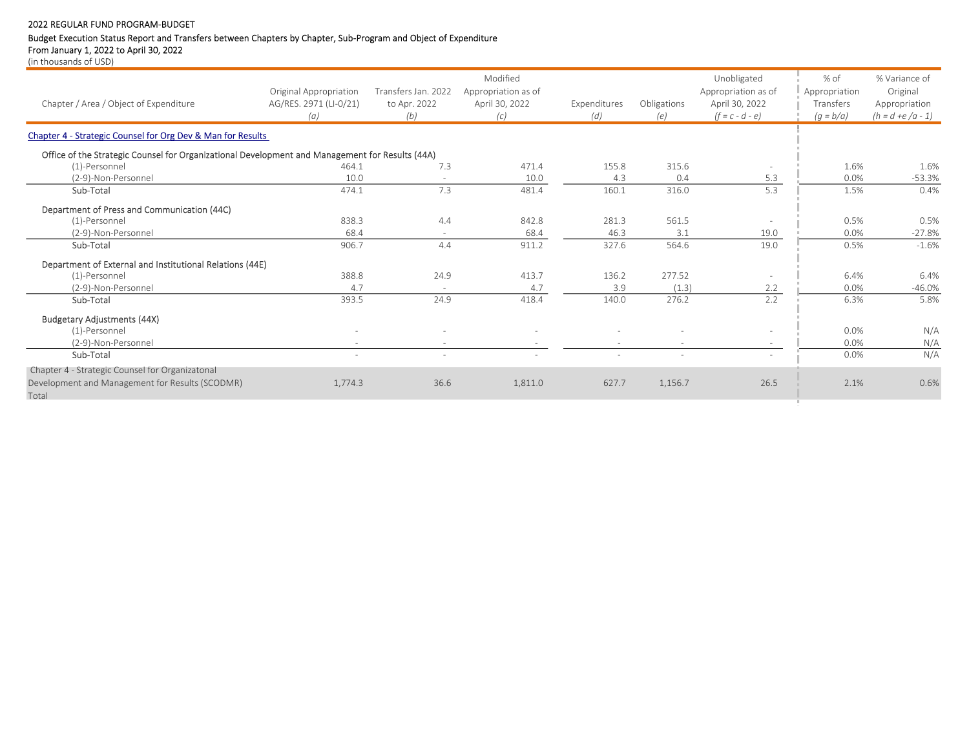# Budget Execution Status Report and Transfers between Chapters by Chapter, Sub-Program and Object of Expenditure

From January 1, 2022 to April 30, 2022 (in thousands of USD)

| Chapter / Area / Object of Expenditure                                                          | Original Appropriation<br>AG/RES. 2971 (LI-0/21)<br>(a) | Transfers Jan. 2022<br>to Apr. 2022<br>(b) | Modified<br>Appropriation as of<br>April 30, 2022<br>(c) | Expenditures<br>(d)      | Obligations<br>(e) | Unobligated<br>Appropriation as of<br>April 30, 2022<br>$(f = c - d - e)$ | % of<br>Appropriation<br>Transfers<br>$(g = b/a)$ | % Variance of<br>Original<br>Appropriation<br>$(h = d + e/a - 1)$ |
|-------------------------------------------------------------------------------------------------|---------------------------------------------------------|--------------------------------------------|----------------------------------------------------------|--------------------------|--------------------|---------------------------------------------------------------------------|---------------------------------------------------|-------------------------------------------------------------------|
| Chapter 4 - Strategic Counsel for Org Dev & Man for Results                                     |                                                         |                                            |                                                          |                          |                    |                                                                           |                                                   |                                                                   |
| Office of the Strategic Counsel for Organizational Development and Management for Results (44A) |                                                         |                                            |                                                          |                          |                    |                                                                           |                                                   |                                                                   |
| (1)-Personnel                                                                                   | 464.1                                                   | 7.3                                        | 471.4                                                    | 155.8                    | 315.6              |                                                                           | 1.6%                                              | 1.6%                                                              |
| (2-9)-Non-Personnel                                                                             | 10.0                                                    |                                            | 10.0                                                     | 4.3                      | 0.4                | 5.3                                                                       | 0.0%                                              | $-53.3%$                                                          |
| Sub-Total                                                                                       | 474.1                                                   | 7.3                                        | 481.4                                                    | 160.1                    | 316.0              | 5.3                                                                       | 1.5%                                              | 0.4%                                                              |
| Department of Press and Communication (44C)                                                     |                                                         |                                            |                                                          |                          |                    |                                                                           |                                                   |                                                                   |
| (1)-Personnel                                                                                   | 838.3                                                   | 4.4                                        | 842.8                                                    | 281.3                    | 561.5              |                                                                           | 0.5%                                              | 0.5%                                                              |
| (2-9)-Non-Personnel                                                                             | 68.4                                                    |                                            | 68.4                                                     | 46.3                     | 3.1                | 19.0                                                                      | 0.0%                                              | $-27.8%$                                                          |
| Sub-Total                                                                                       | 906.7                                                   | 4.4                                        | 911.2                                                    | 327.6                    | 564.6              | 19.0                                                                      | 0.5%                                              | $-1.6%$                                                           |
| Department of External and Institutional Relations (44E)                                        |                                                         |                                            |                                                          |                          |                    |                                                                           |                                                   |                                                                   |
| (1)-Personnel                                                                                   | 388.8                                                   | 24.9                                       | 413.7                                                    | 136.2                    | 277.52             |                                                                           | 6.4%                                              | 6.4%                                                              |
| (2-9)-Non-Personnel                                                                             | 4.7                                                     |                                            | 4.7                                                      | 3.9                      | (1.3)              | 2.2                                                                       | 0.0%                                              | $-46.0%$                                                          |
| Sub-Total                                                                                       | 393.5                                                   | 24.9                                       | 418.4                                                    | 140.0                    | 276.2              | 2.2                                                                       | 6.3%                                              | 5.8%                                                              |
| <b>Budgetary Adjustments (44X)</b>                                                              |                                                         |                                            |                                                          |                          |                    |                                                                           |                                                   |                                                                   |
| (1)-Personnel                                                                                   |                                                         |                                            |                                                          |                          |                    |                                                                           | 0.0%                                              | N/A                                                               |
| (2-9)-Non-Personnel                                                                             |                                                         | $\sim$                                     |                                                          | $\sim$                   |                    |                                                                           | 0.0%                                              | N/A                                                               |
| Sub-Total                                                                                       |                                                         | $\sim$                                     |                                                          | $\overline{\phantom{0}}$ | ÷                  |                                                                           | 0.0%                                              | N/A                                                               |
| Chapter 4 - Strategic Counsel for Organizatonal                                                 |                                                         |                                            |                                                          |                          |                    |                                                                           |                                                   |                                                                   |
| Development and Management for Results (SCODMR)                                                 | 1,774.3                                                 | 36.6                                       | 1,811.0                                                  | 627.7                    | 1,156.7            | 26.5                                                                      | 2.1%                                              | 0.6%                                                              |
| Total                                                                                           |                                                         |                                            |                                                          |                          |                    |                                                                           |                                                   |                                                                   |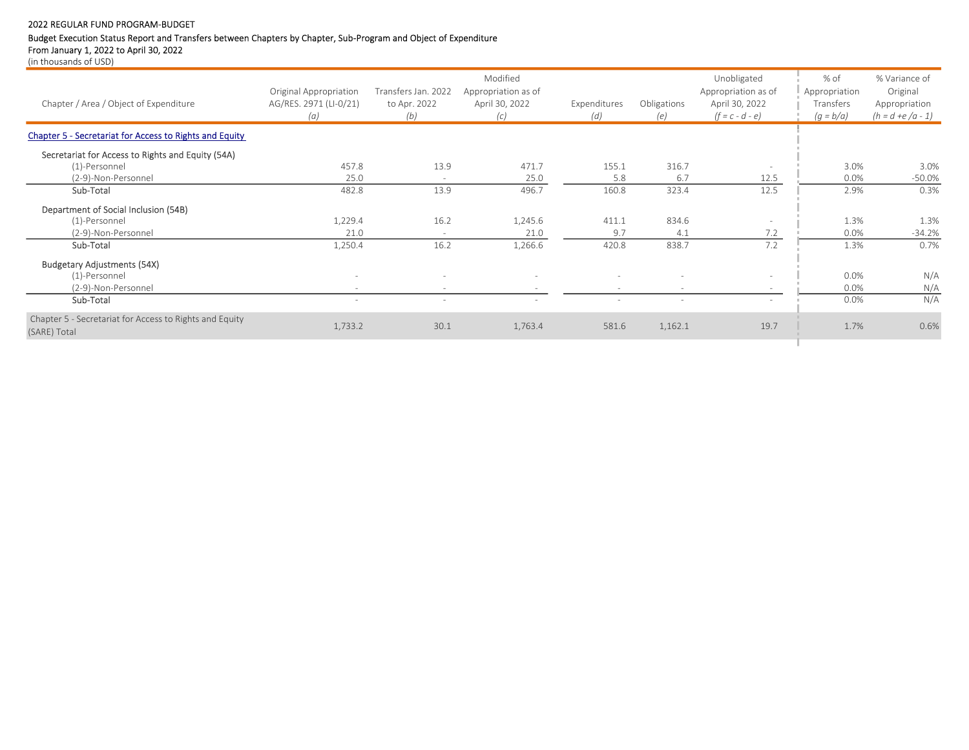# Budget Execution Status Report and Transfers between Chapters by Chapter, Sub-Program and Object of Expenditure

From January 1, 2022 to April 30, 2022

|                                                                         |                          |                          | Modified            |              |             | Unobligated         | % of          | % Variance of       |
|-------------------------------------------------------------------------|--------------------------|--------------------------|---------------------|--------------|-------------|---------------------|---------------|---------------------|
|                                                                         | Original Appropriation   | Transfers Jan. 2022      | Appropriation as of |              |             | Appropriation as of | Appropriation | Original            |
| Chapter / Area / Object of Expenditure                                  | AG/RES. 2971 (LI-0/21)   | to Apr. 2022             | April 30, 2022      | Expenditures | Obligations | April 30, 2022      | Transfers     | Appropriation       |
|                                                                         | (a)                      | (b)                      | (c)                 | (d)          | (e)         | $(f = c - d - e)$   | $(g = b/a)$   | $(h = d + e/a - 1)$ |
| <b>Chapter 5 - Secretariat for Access to Rights and Equity</b>          |                          |                          |                     |              |             |                     |               |                     |
| Secretariat for Access to Rights and Equity (54A)                       |                          |                          |                     |              |             |                     |               |                     |
| (1)-Personnel                                                           | 457.8                    | 13.9                     | 471.7               | 155.1        | 316.7       |                     | 3.0%          | 3.0%                |
| (2-9)-Non-Personnel                                                     | 25.0                     | $\sim$                   | 25.0                | 5.8          | 6.7         | 12.5                | 0.0%          | $-50.0%$            |
| Sub-Total                                                               | 482.8                    | 13.9                     | 496.7               | 160.8        | 323.4       | 12.5                | 2.9%          | 0.3%                |
| Department of Social Inclusion (54B)                                    |                          |                          |                     |              |             |                     |               |                     |
| (1)-Personnel                                                           | 1,229.4                  | 16.2                     | 1,245.6             | 411.1        | 834.6       |                     | 1.3%          | 1.3%                |
| (2-9)-Non-Personnel                                                     | 21.0                     | $\sim$                   | 21.0                | 9.7          | 4.1         | 7.2                 | 0.0%          | $-34.2%$            |
| Sub-Total                                                               | 1,250.4                  | 16.2                     | 1,266.6             | 420.8        | 838.7       | 7.2                 | 1.3%          | 0.7%                |
| <b>Budgetary Adjustments (54X)</b>                                      |                          |                          |                     |              |             |                     |               |                     |
| (1)-Personnel                                                           | $\overline{\phantom{a}}$ | $\overline{\phantom{a}}$ |                     |              |             |                     | 0.0%          | N/A                 |
| (2-9)-Non-Personnel                                                     |                          | $\overline{\phantom{a}}$ |                     |              |             |                     | 0.0%          | N/A                 |
| Sub-Total                                                               |                          | $\overline{\phantom{a}}$ |                     |              |             |                     | 0.0%          | N/A                 |
| Chapter 5 - Secretariat for Access to Rights and Equity<br>(SARE) Total | 1,733.2                  | 30.1                     | 1,763.4             | 581.6        | 1,162.1     | 19.7                | 1.7%          | 0.6%                |
|                                                                         |                          |                          |                     |              |             |                     |               |                     |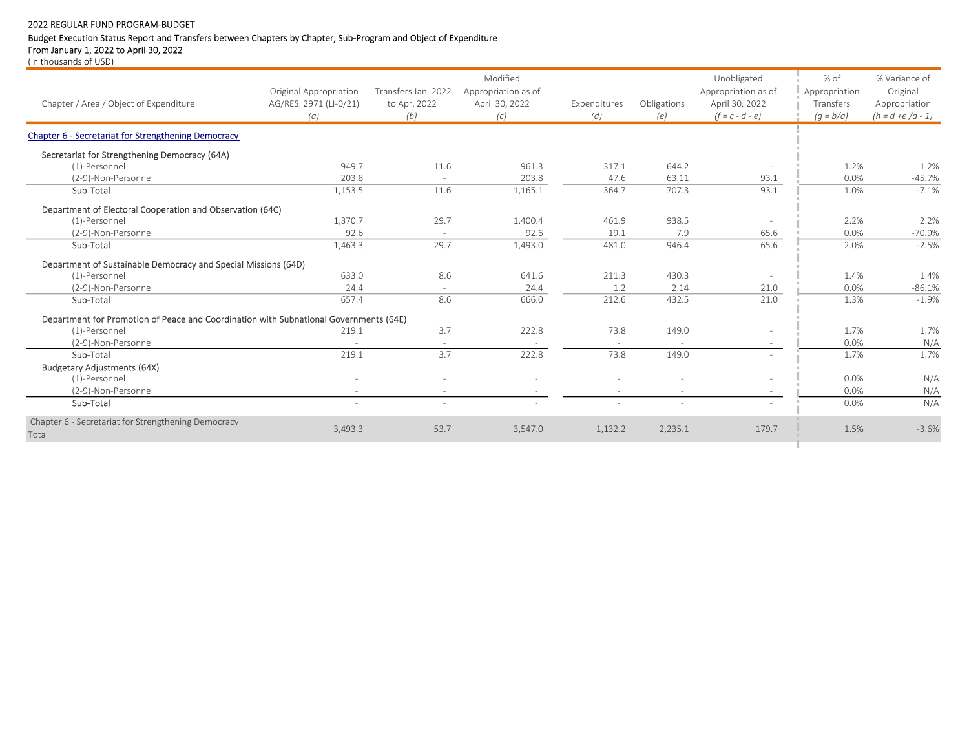# Budget Execution Status Report and Transfers between Chapters by Chapter, Sub-Program and Object of Expenditure

From January 1, 2022 to April 30, 2022

| Chapter / Area / Object of Expenditure                                                | Original Appropriation<br>AG/RES. 2971 (LI-0/21)<br>(a) | Transfers Jan. 2022<br>to Apr. 2022<br>(b) | Modified<br>Appropriation as of<br>April 30, 2022<br>(c) | Expenditures<br>(d) | Obligations<br>(e) | Unobligated<br>Appropriation as of<br>April 30, 2022<br>$(f = c - d - e)$ | % of<br>Appropriation<br>Transfers<br>$(g = b/a)$ | % Variance of<br>Original<br>Appropriation<br>$(h = d + e/a - 1)$ |
|---------------------------------------------------------------------------------------|---------------------------------------------------------|--------------------------------------------|----------------------------------------------------------|---------------------|--------------------|---------------------------------------------------------------------------|---------------------------------------------------|-------------------------------------------------------------------|
| Chapter 6 - Secretariat for Strengthening Democracy                                   |                                                         |                                            |                                                          |                     |                    |                                                                           |                                                   |                                                                   |
| Secretariat for Strengthening Democracy (64A)                                         |                                                         |                                            |                                                          |                     |                    |                                                                           |                                                   |                                                                   |
| (1)-Personnel                                                                         | 949.7                                                   | 11.6                                       | 961.3                                                    | 317.1               | 644.2              |                                                                           | 1.2%                                              | 1.2%                                                              |
| (2-9)-Non-Personnel                                                                   | 203.8                                                   | $\sim$                                     | 203.8                                                    | 47.6                | 63.11              | 93.1                                                                      | 0.0%                                              | $-45.7%$                                                          |
| Sub-Total                                                                             | 1,153.5                                                 | 11.6                                       | 1,165.1                                                  | 364.7               | 707.3              | 93.1                                                                      | 1.0%                                              | $-7.1%$                                                           |
| Department of Electoral Cooperation and Observation (64C)                             |                                                         |                                            |                                                          |                     |                    |                                                                           |                                                   |                                                                   |
| (1)-Personnel                                                                         | 1,370.7                                                 | 29.7                                       | 1,400.4                                                  | 461.9               | 938.5              |                                                                           | 2.2%                                              | 2.2%                                                              |
| (2-9)-Non-Personnel                                                                   | 92.6                                                    | $\overline{\phantom{a}}$                   | 92.6                                                     | 19.1                | 7.9                | 65.6                                                                      | 0.0%                                              | $-70.9%$                                                          |
| Sub-Total                                                                             | 1,463.3                                                 | 29.7                                       | 1,493.0                                                  | 481.0               | 946.4              | 65.6                                                                      | 2.0%                                              | $-2.5%$                                                           |
| Department of Sustainable Democracy and Special Missions (64D)                        |                                                         |                                            |                                                          |                     |                    |                                                                           |                                                   |                                                                   |
| (1)-Personnel                                                                         | 633.0                                                   | 8.6                                        | 641.6                                                    | 211.3               | 430.3              |                                                                           | 1.4%                                              | 1.4%                                                              |
| (2-9)-Non-Personnel                                                                   | 24.4                                                    |                                            | 24.4                                                     | 1.2                 | 2.14               | 21.0                                                                      | 0.0%                                              | $-86.1%$                                                          |
| Sub-Total                                                                             | 657.4                                                   | 8.6                                        | 666.0                                                    | 212.6               | 432.5              | 21.0                                                                      | 1.3%                                              | $-1.9%$                                                           |
| Department for Promotion of Peace and Coordination with Subnational Governments (64E) |                                                         |                                            |                                                          |                     |                    |                                                                           |                                                   |                                                                   |
| (1)-Personnel                                                                         | 219.1                                                   | 3.7                                        | 222.8                                                    | 73.8                | 149.0              |                                                                           | 1.7%                                              | 1.7%                                                              |
| (2-9)-Non-Personnel                                                                   |                                                         | $\sim$                                     |                                                          | $\sim$              |                    | $\sim$                                                                    | 0.0%                                              | N/A                                                               |
| Sub-Total                                                                             | 219.1                                                   | 3.7                                        | 222.8                                                    | 73.8                | 149.0              | $\sim$                                                                    | 1.7%                                              | 1.7%                                                              |
| <b>Budgetary Adjustments (64X)</b>                                                    |                                                         |                                            |                                                          |                     |                    |                                                                           |                                                   |                                                                   |
| (1)-Personnel                                                                         |                                                         | $\sim$                                     | ٠                                                        |                     |                    |                                                                           | 0.0%                                              | N/A                                                               |
| (2-9)-Non-Personnel                                                                   | $\sim$                                                  | $\sim$                                     | $\sim$                                                   | $\sim$              | $\sim$             |                                                                           | 0.0%                                              | N/A                                                               |
| Sub-Total                                                                             | $\sim$                                                  | ÷.                                         | ÷.                                                       | $\sim$              | $\sim$             |                                                                           | 0.0%                                              | N/A                                                               |
| Chapter 6 - Secretariat for Strengthening Democracy<br>Total                          | 3,493.3                                                 | 53.7                                       | 3,547.0                                                  | 1,132.2             | 2,235.1            | 179.7                                                                     | 1.5%                                              | $-3.6%$                                                           |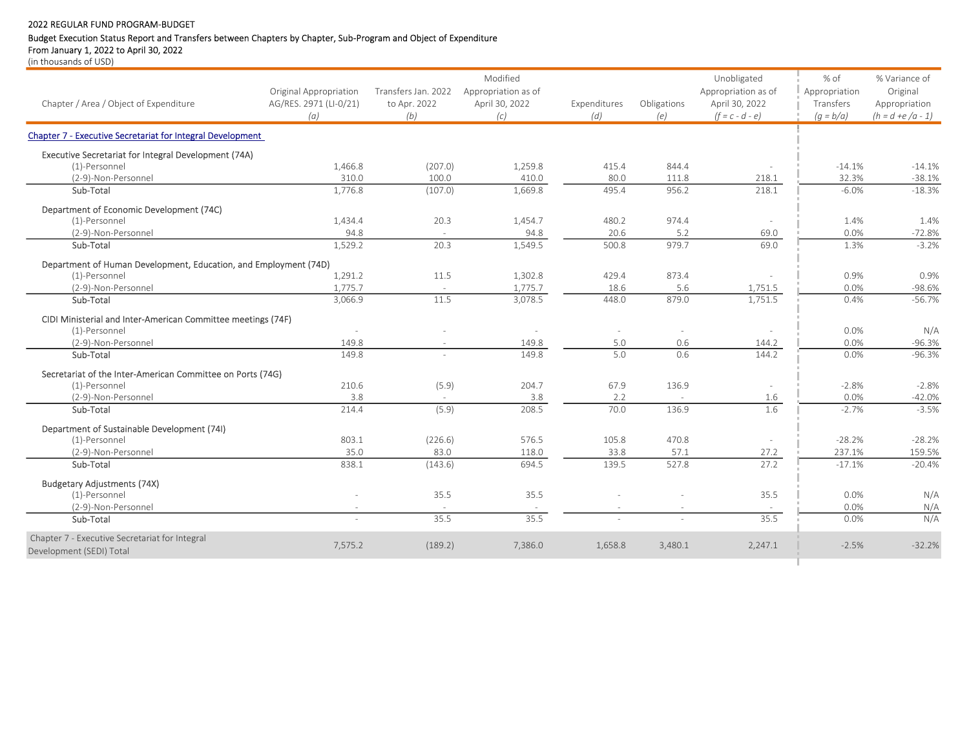# Budget Execution Status Report and Transfers between Chapters by Chapter, Sub-Program and Object of Expenditure

From January 1, 2022 to April 30, 2022

|                                                                   |                        |                          | Modified            |              |             | Unobligated         | % of          | % Variance of       |
|-------------------------------------------------------------------|------------------------|--------------------------|---------------------|--------------|-------------|---------------------|---------------|---------------------|
|                                                                   | Original Appropriation | Transfers Jan. 2022      | Appropriation as of |              |             | Appropriation as of | Appropriation | Original            |
| Chapter / Area / Object of Expenditure                            | AG/RES. 2971 (LI-0/21) | to Apr. 2022             | April 30, 2022      | Expenditures | Obligations | April 30, 2022      | Transfers     | Appropriation       |
|                                                                   | (a)                    | (b)                      | (c)                 | (d)          | (e)         | $(f = c - d - e)$   | $(q = b/a)$   | $(h = d + e/a - 1)$ |
| <b>Chapter 7 - Executive Secretariat for Integral Development</b> |                        |                          |                     |              |             |                     |               |                     |
| Executive Secretariat for Integral Development (74A)              |                        |                          |                     |              |             |                     |               |                     |
| (1)-Personnel                                                     | 1,466.8                | (207.0)                  | 1,259.8             | 415.4        | 844.4       |                     | $-14.1%$      | $-14.1%$            |
| (2-9)-Non-Personnel                                               | 310.0                  | 100.0                    | 410.0               | 80.0         | 111.8       | 218.1               | 32.3%         | $-38.1%$            |
| Sub-Total                                                         | 1,776.8                | (107.0)                  | 1,669.8             | 495.4        | 956.2       | 218.1               | $-6.0%$       | $-18.3%$            |
| Department of Economic Development (74C)                          |                        |                          |                     |              |             |                     |               |                     |
| (1)-Personnel                                                     | 1,434.4                | 20.3                     | 1,454.7             | 480.2        | 974.4       |                     | 1.4%          | 1.4%                |
| (2-9)-Non-Personnel                                               | 94.8                   | ×.                       | 94.8                | 20.6         | 5.2         | 69.0                | 0.0%          | $-72.8%$            |
| Sub-Total                                                         | 1,529.2                | 20.3                     | 1.549.5             | 500.8        | 979.7       | 69.0                | 1.3%          | $-3.2%$             |
| Department of Human Development, Education, and Employment (74D)  |                        |                          |                     |              |             |                     |               |                     |
| (1)-Personnel                                                     | 1,291.2                | 11.5                     | 1,302.8             | 429.4        | 873.4       |                     | 0.9%          | 0.9%                |
| (2-9)-Non-Personnel                                               | 1,775.7                | $\sim$                   | 1,775.7             | 18.6         | 5.6         | 1,751.5             | 0.0%          | $-98.6%$            |
| Sub-Total                                                         | 3,066.9                | 11.5                     | 3,078.5             | 448.0        | 879.0       | 1,751.5             | 0.4%          | $-56.7%$            |
| CIDI Ministerial and Inter-American Committee meetings (74F)      |                        |                          |                     |              |             |                     |               |                     |
| (1)-Personnel                                                     | $\sim$                 |                          | $\sim$              | $\sim$       |             |                     | 0.0%          | N/A                 |
| (2-9)-Non-Personnel                                               | 149.8                  | $\overline{\phantom{a}}$ | 149.8               | 5.0          | 0.6         | 144.2               | 0.0%          | $-96.3%$            |
| Sub-Total                                                         | 149.8                  |                          | 149.8               | 5.0          | 0.6         | 144.2               | 0.0%          | $-96.3%$            |
| Secretariat of the Inter-American Committee on Ports (74G)        |                        |                          |                     |              |             |                     |               |                     |
| (1)-Personnel                                                     | 210.6                  | (5.9)                    | 204.7               | 67.9         | 136.9       |                     | $-2.8%$       | $-2.8%$             |
| (2-9)-Non-Personnel                                               | 3.8                    |                          | 3.8                 | 2.2          |             | 1.6                 | 0.0%          | $-42.0%$            |
| Sub-Total                                                         | 214.4                  | (5.9)                    | 208.5               | 70.0         | 136.9       | 1.6                 | $-2.7%$       | $-3.5%$             |
| Department of Sustainable Development (74I)                       |                        |                          |                     |              |             |                     |               |                     |
| (1)-Personnel                                                     | 803.1                  | (226.6)                  | 576.5               | 105.8        | 470.8       |                     | $-28.2%$      | $-28.2%$            |
| (2-9)-Non-Personnel                                               | 35.0                   | 83.0                     | 118.0               | 33.8         | 57.1        | 27.2                | 237.1%        | 159.5%              |
| Sub-Total                                                         | 838.1                  | (143.6)                  | 694.5               | 139.5        | 527.8       | 27.2                | $-17.1%$      | $-20.4%$            |
| <b>Budgetary Adjustments (74X)</b>                                |                        |                          |                     |              |             |                     |               |                     |
| (1)-Personnel                                                     |                        | 35.5                     | 35.5                |              |             | 35.5                | 0.0%          | N/A                 |
| (2-9)-Non-Personnel                                               | $\sim$                 |                          |                     | $\sim$       |             | $\sim$              | 0.0%          | N/A                 |
| Sub-Total                                                         | $\sim$                 | 35.5                     | 35.5                |              | $\sim$      | 35.5                | 0.0%          | N/A                 |
| Chapter 7 - Executive Secretariat for Integral                    | 7,575.2                | (189.2)                  | 7,386.0             | 1,658.8      | 3,480.1     | 2,247.1             | $-2.5%$       | $-32.2%$            |
| Development (SEDI) Total                                          |                        |                          |                     |              |             |                     |               |                     |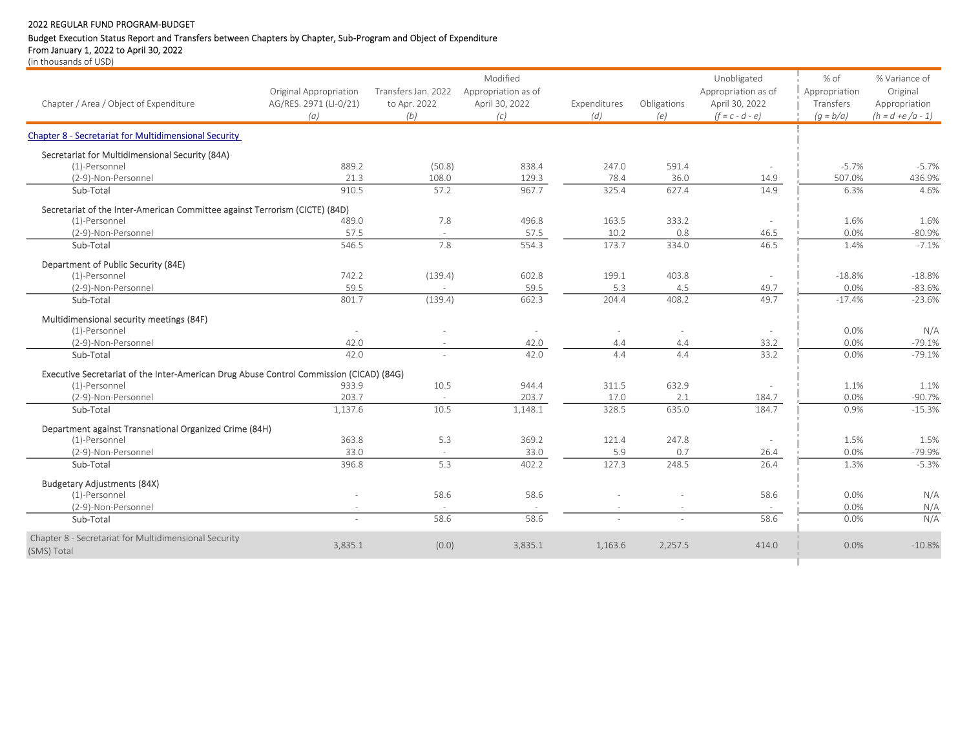# Budget Execution Status Report and Transfers between Chapters by Chapter, Sub-Program and Object of Expenditure

From January 1, 2022 to April 30, 2022

|                                                                                         |                          |                     | Modified            |                          |             | Unobligated              | % of          | % Variance of       |
|-----------------------------------------------------------------------------------------|--------------------------|---------------------|---------------------|--------------------------|-------------|--------------------------|---------------|---------------------|
|                                                                                         | Original Appropriation   | Transfers Jan. 2022 | Appropriation as of |                          |             | Appropriation as of      | Appropriation | Original            |
| Chapter / Area / Object of Expenditure                                                  | AG/RES. 2971 (LI-0/21)   | to Apr. 2022        | April 30, 2022      | Expenditures             | Obligations | April 30, 2022           | Transfers     | Appropriation       |
|                                                                                         | (a)                      | (b)                 | (c)                 | (d)                      | (e)         | $(f = c - d - e)$        | $(g = b/a)$   | $(h = d + e/a - 1)$ |
| <b>Chapter 8 - Secretariat for Multidimensional Security</b>                            |                          |                     |                     |                          |             |                          |               |                     |
| Secretariat for Multidimensional Security (84A)                                         |                          |                     |                     |                          |             |                          |               |                     |
| (1)-Personnel                                                                           | 889.2                    | (50.8)              | 838.4               | 247.0                    | 591.4       | $\overline{\phantom{a}}$ | $-5.7%$       | $-5.7%$             |
| (2-9)-Non-Personnel                                                                     | 21.3                     | 108.0               | 129.3               | 78.4                     | 36.0        | 14.9                     | 507.0%        | 436.9%              |
| Sub-Total                                                                               | 910.5                    | 57.2                | 967.7               | 325.4                    | 627.4       | 14.9                     | 6.3%          | 4.6%                |
| Secretariat of the Inter-American Committee against Terrorism (CICTE) (84D)             |                          |                     |                     |                          |             |                          |               |                     |
| (1)-Personnel                                                                           | 489.0                    | 7.8                 | 496.8               | 163.5                    | 333.2       |                          | 1.6%          | 1.6%                |
| (2-9)-Non-Personnel                                                                     | 57.5                     | $\sim$              | 57.5                | 10.2                     | 0.8         | 46.5                     | 0.0%          | $-80.9%$            |
| Sub-Total                                                                               | 546.5                    | 7.8                 | 554.3               | 173.7                    | 334.0       | 46.5                     | 1.4%          | $-7.1%$             |
| Department of Public Security (84E)                                                     |                          |                     |                     |                          |             |                          |               |                     |
| (1)-Personnel                                                                           | 742.2                    | (139.4)             | 602.8               | 199.1                    | 403.8       |                          | $-18.8%$      | $-18.8%$            |
| (2-9)-Non-Personnel                                                                     | 59.5                     | $\sim$              | 59.5                | 5.3                      | 4.5         | 49.7                     | 0.0%          | $-83.6%$            |
| Sub-Total                                                                               | 801.7                    | (139.4)             | 662.3               | 204.4                    | 408.2       | 49.7                     | $-17.4%$      | $-23.6%$            |
| Multidimensional security meetings (84F)                                                |                          |                     |                     |                          |             |                          |               |                     |
| (1)-Personnel                                                                           | $\overline{\phantom{a}}$ |                     | $\sim$              | $\overline{\phantom{a}}$ |             |                          | 0.0%          | N/A                 |
| (2-9)-Non-Personnel                                                                     | 42.0                     |                     | 42.0                | 4.4                      | 4.4         | 33.2                     | 0.0%          | $-79.1%$            |
| Sub-Total                                                                               | 42.0                     |                     | 42.0                | 4.4                      | 4.4         | 33.2                     | 0.0%          | $-79.1%$            |
| Executive Secretariat of the Inter-American Drug Abuse Control Commission (CICAD) (84G) |                          |                     |                     |                          |             |                          |               |                     |
| (1)-Personnel                                                                           | 933.9                    | 10.5                | 944.4               | 311.5                    | 632.9       |                          | 1.1%          | 1.1%                |
| (2-9)-Non-Personnel                                                                     | 203.7                    |                     | 203.7               | 17.0                     | 2.1         | 184.7                    | 0.0%          | $-90.7%$            |
| Sub-Total                                                                               | 1,137.6                  | 10.5                | 1,148.1             | 328.5                    | 635.0       | 184.7                    | 0.9%          | $-15.3%$            |
| Department against Transnational Organized Crime (84H)                                  |                          |                     |                     |                          |             |                          |               |                     |
| (1)-Personnel                                                                           | 363.8                    | 5.3                 | 369.2               | 121.4                    | 247.8       |                          | 1.5%          | 1.5%                |
| (2-9)-Non-Personnel                                                                     | 33.0                     | $\sim$              | 33.0                | 5.9                      | 0.7         | 26.4                     | 0.0%          | $-79.9%$            |
| Sub-Total                                                                               | 396.8                    | 5.3                 | 402.2               | 127.3                    | 248.5       | 26.4                     | 1.3%          | $-5.3%$             |
| <b>Budgetary Adjustments (84X)</b>                                                      |                          |                     |                     |                          |             |                          |               |                     |
| (1)-Personnel                                                                           |                          | 58.6                | 58.6                |                          |             | 58.6                     | 0.0%          | N/A                 |
| (2-9)-Non-Personnel                                                                     | $\sim$                   |                     | $\sim$              | $\sim$                   |             | $\sim$                   | 0.0%          | N/A                 |
| Sub-Total                                                                               | ÷                        | 58.6                | 58.6                |                          |             | 58.6                     | 0.0%          | N/A                 |
| Chapter 8 - Secretariat for Multidimensional Security                                   | 3,835.1                  | (0.0)               | 3,835.1             | 1,163.6                  | 2,257.5     | 414.0                    | 0.0%          | $-10.8%$            |
| (SMS) Total                                                                             |                          |                     |                     |                          |             |                          |               |                     |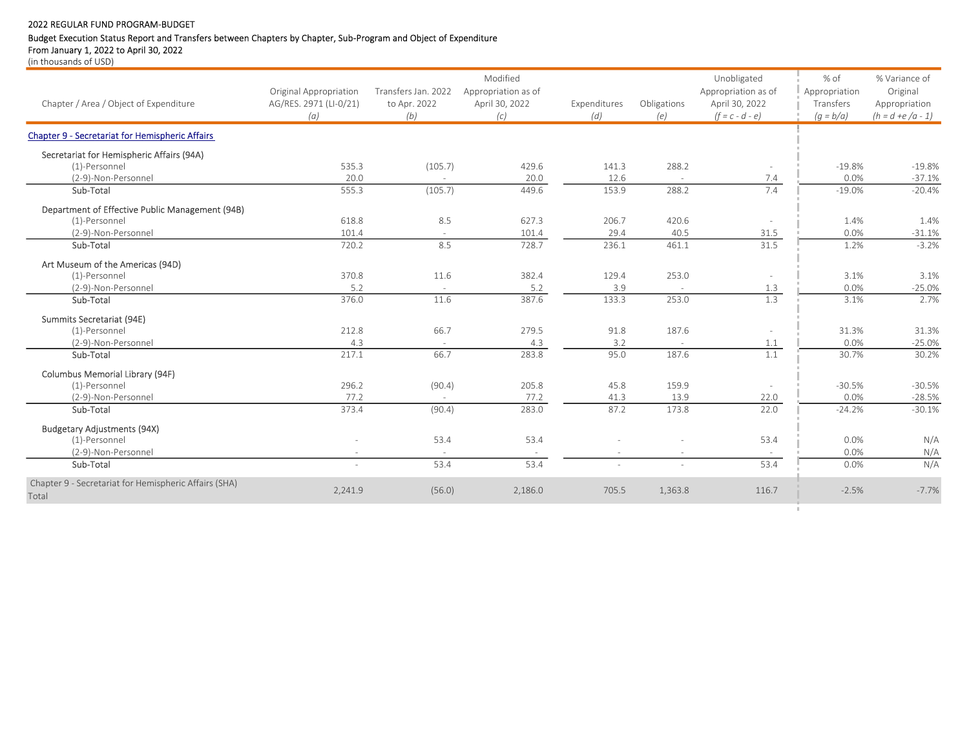# Budget Execution Status Report and Transfers between Chapters by Chapter, Sub-Program and Object of Expenditure

From January 1, 2022 to April 30, 2022

|                                                        |                        |                     | Modified            |              |             | Unobligated         | % of          | % Variance of       |
|--------------------------------------------------------|------------------------|---------------------|---------------------|--------------|-------------|---------------------|---------------|---------------------|
|                                                        | Original Appropriation | Transfers Jan. 2022 | Appropriation as of |              |             | Appropriation as of | Appropriation | Original            |
| Chapter / Area / Object of Expenditure                 | AG/RES. 2971 (LI-0/21) | to Apr. 2022        | April 30, 2022      | Expenditures | Obligations | April 30, 2022      | Transfers     | Appropriation       |
|                                                        | (a)                    | (b)                 | (c)                 | (d)          | (e)         | $(f = c - d - e)$   | $(q = b/a)$   | $(h = d + e/a - 1)$ |
| <b>Chapter 9 - Secretariat for Hemispheric Affairs</b> |                        |                     |                     |              |             |                     |               |                     |
| Secretariat for Hemispheric Affairs (94A)              |                        |                     |                     |              |             |                     |               |                     |
| (1)-Personnel                                          | 535.3                  | (105.7)             | 429.6               | 141.3        | 288.2       |                     | $-19.8%$      | $-19.8%$            |
| (2-9)-Non-Personnel                                    | 20.0                   |                     | 20.0                | 12.6         |             | 7.4                 | 0.0%          | $-37.1%$            |
| Sub-Total                                              | 555.3                  | (105.7)             | 449.6               | 153.9        | 288.2       | 7.4                 | $-19.0%$      | $-20.4%$            |
| Department of Effective Public Management (94B)        |                        |                     |                     |              |             |                     |               |                     |
| (1)-Personnel                                          | 618.8                  | 8.5                 | 627.3               | 206.7        | 420.6       |                     | 1.4%          | 1.4%                |
| (2-9)-Non-Personnel                                    | 101.4                  | $\sim$              | 101.4               | 29.4         | 40.5        | 31.5                | 0.0%          | $-31.1%$            |
| Sub-Total                                              | 720.2                  | 8.5                 | 728.7               | 236.1        | 461.1       | 31.5                | 1.2%          | $-3.2%$             |
| Art Museum of the Americas (94D)                       |                        |                     |                     |              |             |                     |               |                     |
| (1)-Personnel                                          | 370.8                  | 11.6                | 382.4               | 129.4        | 253.0       |                     | 3.1%          | 3.1%                |
| (2-9)-Non-Personnel                                    | 5.2                    |                     | 5.2                 | 3.9          |             | 1.3                 | 0.0%          | $-25.0%$            |
| Sub-Total                                              | 376.0                  | 11.6                | 387.6               | 133.3        | 253.0       | 1.3                 | 3.1%          | 2.7%                |
| Summits Secretariat (94E)                              |                        |                     |                     |              |             |                     |               |                     |
| (1)-Personnel                                          | 212.8                  | 66.7                | 279.5               | 91.8         | 187.6       |                     | 31.3%         | 31.3%               |
| (2-9)-Non-Personnel                                    | 4.3                    | $\sim$              | 4.3                 | 3.2          |             | 1.1                 | 0.0%          | $-25.0%$            |
| Sub-Total                                              | 217.1                  | 66.7                | 283.8               | 95.0         | 187.6       | 1.1                 | 30.7%         | 30.2%               |
| Columbus Memorial Library (94F)                        |                        |                     |                     |              |             |                     |               |                     |
| (1)-Personnel                                          | 296.2                  | (90.4)              | 205.8               | 45.8         | 159.9       | $\sim$              | $-30.5%$      | $-30.5%$            |
| (2-9)-Non-Personnel                                    | 77.2                   |                     | 77.2                | 41.3         | 13.9        | 22.0                | 0.0%          | $-28.5%$            |
| Sub-Total                                              | 373.4                  | (90.4)              | 283.0               | 87.2         | 173.8       | 22.0                | $-24.2%$      | $-30.1%$            |
| <b>Budgetary Adjustments (94X)</b>                     |                        |                     |                     |              |             |                     |               |                     |
| (1)-Personnel                                          |                        | 53.4                | 53.4                |              |             | 53.4                | 0.0%          | N/A                 |
| (2-9)-Non-Personnel                                    |                        |                     |                     |              |             |                     | 0.0%          | N/A                 |
| Sub-Total                                              |                        | 53.4                | 53.4                |              |             | 53.4                | 0.0%          | N/A                 |
| Chapter 9 - Secretariat for Hemispheric Affairs (SHA)  |                        |                     |                     |              |             |                     |               |                     |
| Total                                                  | 2,241.9                | (56.0)              | 2,186.0             | 705.5        | 1,363.8     | 116.7               | $-2.5%$       | $-7.7%$             |
|                                                        |                        |                     |                     |              |             |                     |               |                     |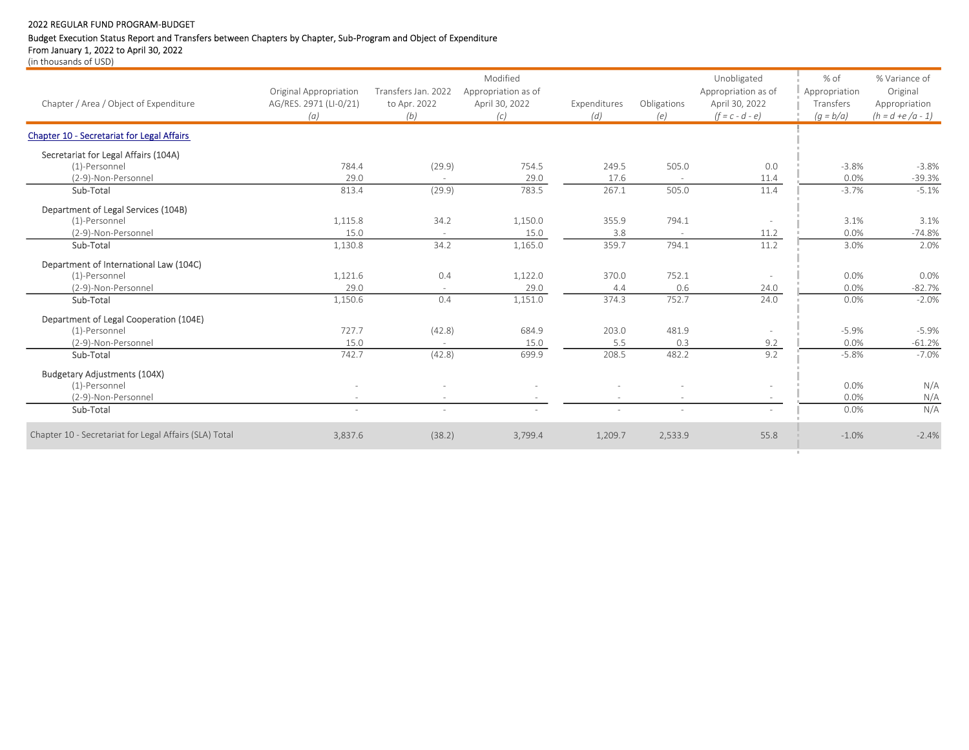# Budget Execution Status Report and Transfers between Chapters by Chapter, Sub-Program and Object of Expenditure

From January 1, 2022 to April 30, 2022

|                                                        |                               |                     | Modified              |                     |                    | Unobligated                         | % of                     | % Variance of                        |
|--------------------------------------------------------|-------------------------------|---------------------|-----------------------|---------------------|--------------------|-------------------------------------|--------------------------|--------------------------------------|
|                                                        | Original Appropriation        | Transfers Jan. 2022 | Appropriation as of   |                     |                    | Appropriation as of                 | Appropriation            | Original                             |
| Chapter / Area / Object of Expenditure                 | AG/RES. 2971 (LI-0/21)<br>(a) | to Apr. 2022<br>(b) | April 30, 2022<br>(c) | Expenditures<br>(d) | Obligations<br>(e) | April 30, 2022<br>$(f = c - d - e)$ | Transfers<br>$(g = b/a)$ | Appropriation<br>$(h = d + e/a - 1)$ |
| <b>Chapter 10 - Secretariat for Legal Affairs</b>      |                               |                     |                       |                     |                    |                                     |                          |                                      |
| Secretariat for Legal Affairs (104A)                   |                               |                     |                       |                     |                    |                                     |                          |                                      |
| (1)-Personnel                                          | 784.4                         | (29.9)              | 754.5                 | 249.5               | 505.0              | 0.0                                 | $-3.8%$                  | $-3.8%$                              |
| (2-9)-Non-Personnel                                    | 29.0                          | $\sim$              | 29.0                  | 17.6                | $\sim$             | 11.4                                | 0.0%                     | $-39.3%$                             |
| Sub-Total                                              | 813.4                         | (29.9)              | 783.5                 | 267.1               | 505.0              | 11.4                                | $-3.7%$                  | $-5.1%$                              |
| Department of Legal Services (104B)                    |                               |                     |                       |                     |                    |                                     |                          |                                      |
| (1)-Personnel                                          | 1,115.8                       | 34.2                | 1,150.0               | 355.9               | 794.1              |                                     | 3.1%                     | 3.1%                                 |
| (2-9)-Non-Personnel                                    | 15.0                          | $\sim$              | 15.0                  | 3.8                 | $\sim$             | 11.2                                | 0.0%                     | $-74.8%$                             |
| Sub-Total                                              | 1,130.8                       | 34.2                | 1,165.0               | 359.7               | 794.1              | 11.2                                | 3.0%                     | 2.0%                                 |
| Department of International Law (104C)                 |                               |                     |                       |                     |                    |                                     |                          |                                      |
| (1)-Personnel                                          | 1,121.6                       | 0.4                 | 1,122.0               | 370.0               | 752.1              |                                     | 0.0%                     | 0.0%                                 |
| (2-9)-Non-Personnel                                    | 29.0                          | $\sim$              | 29.0                  | 4.4                 | 0.6                | 24.0                                | 0.0%                     | $-82.7%$                             |
| Sub-Total                                              | 1,150.6                       | 0.4                 | 1,151.0               | 374.3               | 752.7              | 24.0                                | 0.0%                     | $-2.0%$                              |
| Department of Legal Cooperation (104E)                 |                               |                     |                       |                     |                    |                                     |                          |                                      |
| (1)-Personnel                                          | 727.7                         | (42.8)              | 684.9                 | 203.0               | 481.9              |                                     | $-5.9%$                  | $-5.9%$                              |
| (2-9)-Non-Personnel                                    | 15.0                          |                     | 15.0                  | 5.5                 | 0.3                | 9.2                                 | 0.0%                     | $-61.2%$                             |
| Sub-Total                                              | 742.7                         | (42.8)              | 699.9                 | 208.5               | 482.2              | 9.2                                 | $-5.8%$                  | $-7.0%$                              |
| <b>Budgetary Adjustments (104X)</b>                    |                               |                     |                       |                     |                    |                                     |                          |                                      |
| (1)-Personnel                                          |                               |                     |                       |                     |                    |                                     | 0.0%                     | N/A                                  |
| (2-9)-Non-Personnel                                    |                               |                     |                       |                     |                    |                                     | 0.0%                     | N/A                                  |
| Sub-Total                                              | $\bar{a}$                     | $\sim$              |                       | ÷                   |                    |                                     | 0.0%                     | N/A                                  |
| Chapter 10 - Secretariat for Legal Affairs (SLA) Total | 3,837.6                       | (38.2)              | 3,799.4               | 1,209.7             | 2,533.9            | 55.8                                | $-1.0%$                  | $-2.4%$                              |
|                                                        |                               |                     |                       |                     |                    |                                     |                          |                                      |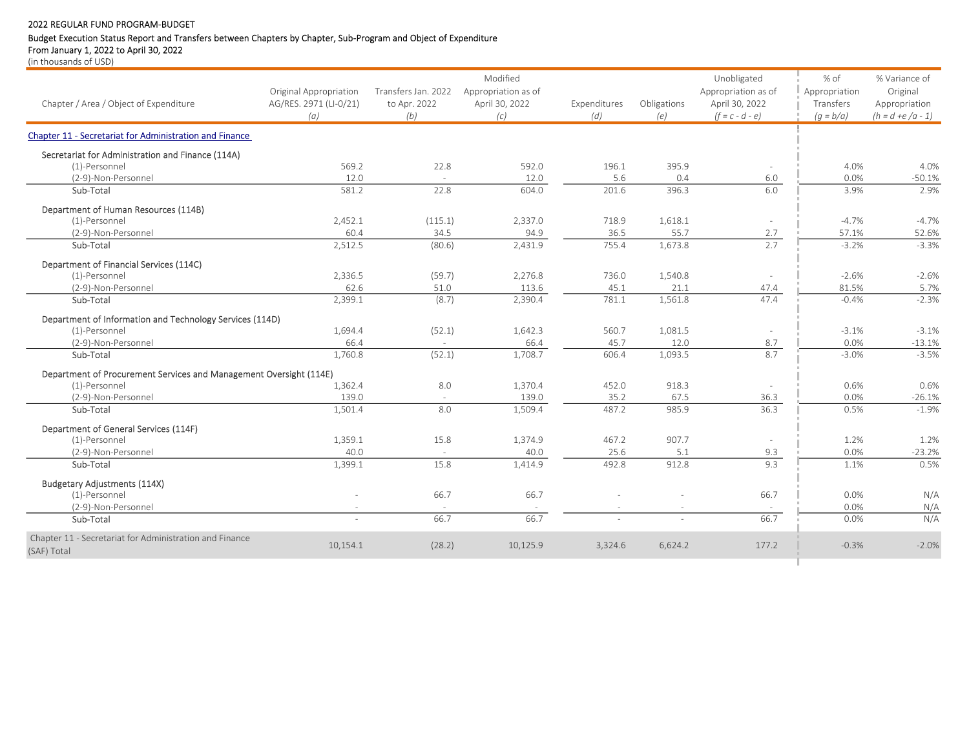# Budget Execution Status Report and Transfers between Chapters by Chapter, Sub-Program and Object of Expenditure

From January 1, 2022 to April 30, 2022

|                                                                    |                        |                     | Modified            |              |             | Unobligated         | % of          | % Variance of       |
|--------------------------------------------------------------------|------------------------|---------------------|---------------------|--------------|-------------|---------------------|---------------|---------------------|
|                                                                    | Original Appropriation | Transfers Jan. 2022 | Appropriation as of |              |             | Appropriation as of | Appropriation | Original            |
| Chapter / Area / Object of Expenditure                             | AG/RES. 2971 (LI-0/21) | to Apr. 2022        | April 30, 2022      | Expenditures | Obligations | April 30, 2022      | Transfers     | Appropriation       |
|                                                                    | (a)                    | (b)                 | (c)                 | (d)          | (e)         | $(f = c - d - e)$   | $(q = b/a)$   | $(h = d + e/a - 1)$ |
| Chapter 11 - Secretariat for Administration and Finance            |                        |                     |                     |              |             |                     |               |                     |
| Secretariat for Administration and Finance (114A)                  |                        |                     |                     |              |             |                     |               |                     |
| (1)-Personnel                                                      | 569.2                  | 22.8                | 592.0               | 196.1        | 395.9       |                     | 4.0%          | 4.0%                |
| (2-9)-Non-Personnel                                                | 12.0                   |                     | 12.0                | 5.6          | 0.4         | 6.0                 | 0.0%          | $-50.1%$            |
| Sub-Total                                                          | 581.2                  | 22.8                | 604.0               | 201.6        | 396.3       | 6.0                 | 3.9%          | 2.9%                |
| Department of Human Resources (114B)                               |                        |                     |                     |              |             |                     |               |                     |
| (1)-Personnel                                                      | 2,452.1                | (115.1)             | 2,337.0             | 718.9        | 1,618.1     |                     | $-4.7%$       | $-4.7%$             |
| (2-9)-Non-Personnel                                                | 60.4                   | 34.5                | 94.9                | 36.5         | 55.7        | 2.7                 | 57.1%         | 52.6%               |
| Sub-Total                                                          | 2,512.5                | (80.6)              | 2,431.9             | 755.4        | 1,673.8     | 2.7                 | $-3.2%$       | $-3.3%$             |
| Department of Financial Services (114C)                            |                        |                     |                     |              |             |                     |               |                     |
| (1)-Personnel                                                      | 2,336.5                | (59.7)              | 2,276.8             | 736.0        | 1,540.8     |                     | $-2.6%$       | $-2.6%$             |
| (2-9)-Non-Personnel                                                | 62.6                   | 51.0                | 113.6               | 45.1         | 21.1        | 47.4                | 81.5%         | 5.7%                |
| Sub-Total                                                          | 2.399.1                | (8.7)               | 2.390.4             | 781.1        | 1,561.8     | 47.4                | $-0.4%$       | $-2.3%$             |
| Department of Information and Technology Services (114D)           |                        |                     |                     |              |             |                     |               |                     |
| (1)-Personnel                                                      | 1,694.4                | (52.1)              | 1,642.3             | 560.7        | 1,081.5     |                     | $-3.1%$       | $-3.1%$             |
| (2-9)-Non-Personnel                                                | 66.4                   |                     | 66.4                | 45.7         | 12.0        | 8.7                 | 0.0%          | $-13.1%$            |
| Sub-Total                                                          | 1,760.8                | (52.1)              | 1,708.7             | 606.4        | 1,093.5     | 8.7                 | $-3.0%$       | $-3.5%$             |
| Department of Procurement Services and Management Oversight (114E) |                        |                     |                     |              |             |                     |               |                     |
| (1)-Personnel                                                      | 1,362.4                | 8.0                 | 1,370.4             | 452.0        | 918.3       |                     | 0.6%          | 0.6%                |
| (2-9)-Non-Personnel                                                | 139.0                  | $\sim$              | 139.0               | 35.2         | 67.5        | 36.3                | 0.0%          | $-26.1%$            |
| Sub-Total                                                          | 1,501.4                | 8.0                 | 1,509.4             | 487.2        | 985.9       | 36.3                | 0.5%          | $-1.9%$             |
| Department of General Services (114F)                              |                        |                     |                     |              |             |                     |               |                     |
| (1)-Personnel                                                      | 1,359.1                | 15.8                | 1,374.9             | 467.2        | 907.7       |                     | 1.2%          | 1.2%                |
| (2-9)-Non-Personnel                                                | 40.0                   |                     | 40.0                | 25.6         | 5.1         | 9.3                 | 0.0%          | $-23.2%$            |
| Sub-Total                                                          | 1,399.1                | 15.8                | 1,414.9             | 492.8        | 912.8       | 9.3                 | 1.1%          | 0.5%                |
| <b>Budgetary Adjustments (114X)</b>                                |                        |                     |                     |              |             |                     |               |                     |
| (1)-Personnel                                                      |                        | 66.7                | 66.7                |              |             | 66.7                | 0.0%          | N/A                 |
| (2-9)-Non-Personnel                                                |                        |                     |                     |              |             |                     | 0.0%          | N/A                 |
| Sub-Total                                                          |                        | 66.7                | 66.7                |              |             | 66.7                | 0.0%          | N/A                 |
| Chapter 11 - Secretariat for Administration and Finance            |                        |                     |                     |              |             |                     |               |                     |
| (SAF) Total                                                        | 10,154.1               | (28.2)              | 10,125.9            | 3,324.6      | 6,624.2     | 177.2               | $-0.3%$       | $-2.0%$             |
|                                                                    |                        |                     |                     |              |             |                     |               |                     |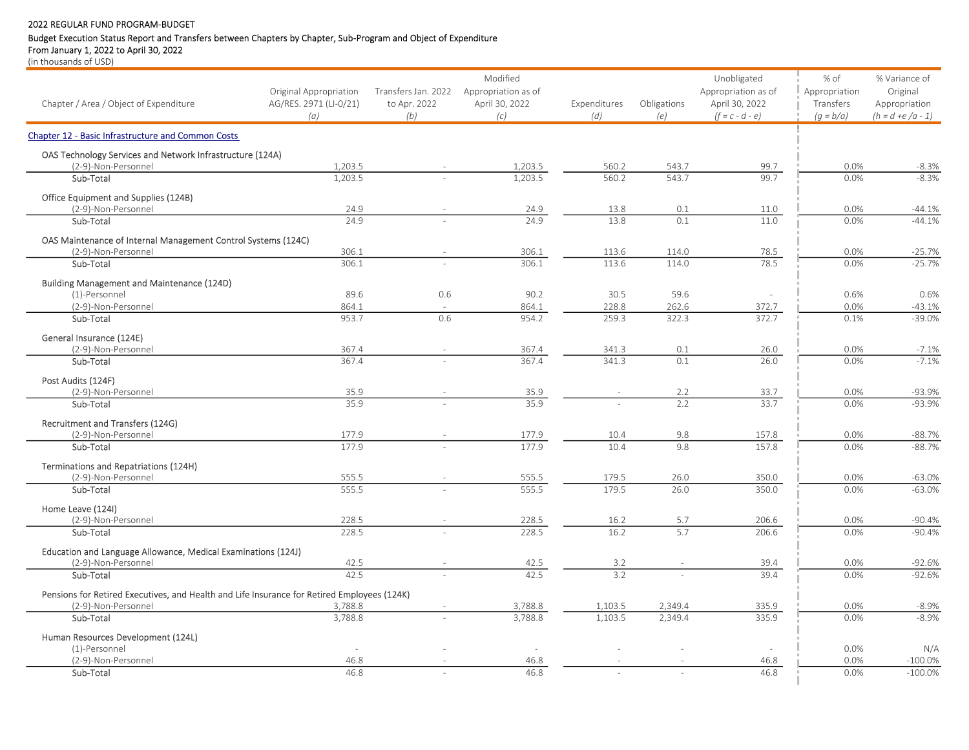# Budget Execution Status Report and Transfers between Chapters by Chapter, Sub-Program and Object of Expenditure

From January 1, 2022 to April 30, 2022 (in thousands of USD)

| Chapter / Area / Object of Expenditure                                                      | Original Appropriation<br>AG/RES. 2971 (LI-0/21)<br>(a) | to Apr. 2022<br>(b) | Modified<br>Transfers Jan. 2022 Appropriation as of<br>April 30, 2022<br>(c) | Expenditures<br>(d) | Obligations<br>(e) | Unobligated<br>Appropriation as of<br>April 30, 2022<br>$(f = c - d - e)$ | $%$ of<br>Appropriation<br>Transfers<br>$(q = b/a)$ | % Variance of<br>Original<br>Appropriation<br>$(h = d + e/a - 1)$ |
|---------------------------------------------------------------------------------------------|---------------------------------------------------------|---------------------|------------------------------------------------------------------------------|---------------------|--------------------|---------------------------------------------------------------------------|-----------------------------------------------------|-------------------------------------------------------------------|
| <b>Chapter 12 - Basic Infrastructure and Common Costs</b>                                   |                                                         |                     |                                                                              |                     |                    |                                                                           |                                                     |                                                                   |
| OAS Technology Services and Network Infrastructure (124A)<br>(2-9)-Non-Personnel            | 1,203.5                                                 |                     | 1,203.5                                                                      | 560.2               | 543.7              | 99.7                                                                      | 0.0%                                                | $-8.3%$                                                           |
| Sub-Total                                                                                   | 1.203.5                                                 |                     | 1,203.5                                                                      | 560.2               | 543.7              | 99.7                                                                      | 0.0%                                                | $-8.3%$                                                           |
| Office Equipment and Supplies (124B)<br>(2-9)-Non-Personnel                                 | 24.9                                                    |                     | 24.9                                                                         | 13.8                | 0.1                | 11.0                                                                      | 0.0%                                                | $-44.1%$                                                          |
| Sub-Total                                                                                   | 24.9                                                    |                     | 24.9                                                                         | 13.8                | 0.1                | 11.0                                                                      | 0.0%                                                | $-44.1%$                                                          |
| OAS Maintenance of Internal Management Control Systems (124C)                               |                                                         |                     |                                                                              |                     |                    |                                                                           |                                                     |                                                                   |
| (2-9)-Non-Personnel                                                                         | 306.1                                                   |                     | 306.1                                                                        | 113.6               | 114.0              | 78.5                                                                      | 0.0%                                                | $-25.7%$                                                          |
| Sub-Total                                                                                   | 306.1                                                   |                     | 306.1                                                                        | 113.6               | 114.0              | 78.5                                                                      | 0.0%                                                | $-25.7%$                                                          |
| Building Management and Maintenance (124D)                                                  |                                                         |                     |                                                                              |                     |                    |                                                                           |                                                     |                                                                   |
| (1)-Personnel                                                                               | 89.6                                                    | 0.6                 | 90.2                                                                         | 30.5                | 59.6               |                                                                           | 0.6%                                                | 0.6%                                                              |
| (2-9)-Non-Personnel<br>Sub-Total                                                            | 864.1<br>953.7                                          | 0.6                 | 864.1<br>954.2                                                               | 228.8<br>259.3      | 262.6<br>322.3     | 372.7<br>372.7                                                            | 0.0%<br>0.1%                                        | $-43.1%$<br>$-39.0%$                                              |
|                                                                                             |                                                         |                     |                                                                              |                     |                    |                                                                           |                                                     |                                                                   |
| General Insurance (124E)<br>(2-9)-Non-Personnel                                             | 367.4                                                   |                     | 367.4                                                                        | 341.3               | 0.1                | 26.0                                                                      | 0.0%                                                | $-7.1%$                                                           |
| Sub-Total                                                                                   | 367.4                                                   |                     | 367.4                                                                        | 341.3               | 0.1                | 26.0                                                                      | 0.0%                                                | $-7.1%$                                                           |
|                                                                                             |                                                         |                     |                                                                              |                     |                    |                                                                           |                                                     |                                                                   |
| Post Audits (124F)<br>(2-9)-Non-Personnel                                                   | 35.9                                                    |                     | 35.9                                                                         |                     | 2.2                | 33.7                                                                      | 0.0%                                                | $-93.9%$                                                          |
| Sub-Total                                                                                   | 35.9                                                    |                     | 35.9                                                                         |                     | 2.2                | 33.7                                                                      | 0.0%                                                | $-93.9%$                                                          |
| Recruitment and Transfers (124G)                                                            |                                                         |                     |                                                                              |                     |                    |                                                                           |                                                     |                                                                   |
| (2-9)-Non-Personnel                                                                         | 177.9                                                   |                     | 177.9                                                                        | 10.4                | 9.8                | 157.8                                                                     | 0.0%                                                | $-88.7%$                                                          |
| Sub-Total                                                                                   | 177.9                                                   |                     | 177.9                                                                        | 10.4                | 9.8                | 157.8                                                                     | 0.0%                                                | $-88.7%$                                                          |
| Terminations and Repatriations (124H)                                                       |                                                         |                     |                                                                              |                     |                    |                                                                           |                                                     |                                                                   |
| (2-9)-Non-Personnel                                                                         | 555.5                                                   |                     | 555.5                                                                        | 179.5               | 26.0               | 350.0                                                                     | 0.0%                                                | $-63.0%$                                                          |
| Sub-Total                                                                                   | 555.5                                                   |                     | 555.5                                                                        | 179.5               | 26.0               | 350.0                                                                     | 0.0%                                                | $-63.0%$                                                          |
| Home Leave (124I)                                                                           |                                                         |                     |                                                                              |                     |                    |                                                                           |                                                     |                                                                   |
| (2-9)-Non-Personnel                                                                         | 228.5                                                   |                     | 228.5                                                                        | 16.2                | 5.7                | 206.6                                                                     | 0.0%                                                | $-90.4%$                                                          |
| Sub-Total                                                                                   | 228.5                                                   |                     | 228.5                                                                        | 16.2                | 5.7                | 206.6                                                                     | 0.0%                                                | $-90.4%$                                                          |
| Education and Language Allowance, Medical Examinations (124J)                               |                                                         |                     |                                                                              |                     |                    |                                                                           |                                                     |                                                                   |
| (2-9)-Non-Personnel                                                                         | 42.5                                                    |                     | 42.5                                                                         | 3.2                 |                    | 39.4                                                                      | 0.0%                                                | $-92.6%$                                                          |
| Sub-Total                                                                                   | 42.5                                                    |                     | 42.5                                                                         | 3.2                 |                    | 39.4                                                                      | 0.0%                                                | $-92.6%$                                                          |
| Pensions for Retired Executives, and Health and Life Insurance for Retired Employees (124K) |                                                         |                     |                                                                              |                     |                    |                                                                           |                                                     |                                                                   |
| (2-9)-Non-Personnel                                                                         | 3,788.8                                                 |                     | 3,788.8                                                                      | 1,103.5             | 2,349.4            | 335.9                                                                     | 0.0%                                                | $-8.9%$                                                           |
| Sub-Total                                                                                   | 3,788.8                                                 |                     | 3.788.8                                                                      | 1.103.5             | 2.349.4            | 335.9                                                                     | 0.0%                                                | $-8.9%$                                                           |
| Human Resources Development (124L)                                                          |                                                         |                     |                                                                              |                     |                    |                                                                           |                                                     |                                                                   |
| (1)-Personnel                                                                               |                                                         |                     |                                                                              |                     |                    |                                                                           | 0.0%                                                | N/A                                                               |
| (2-9)-Non-Personnel                                                                         | 46.8                                                    |                     | 46.8                                                                         |                     |                    | 46.8                                                                      | 0.0%                                                | $-100.0%$                                                         |
| Sub-Total                                                                                   | 46.8                                                    |                     | 46.8                                                                         |                     |                    | 46.8                                                                      | 0.0%                                                | $-100.0%$                                                         |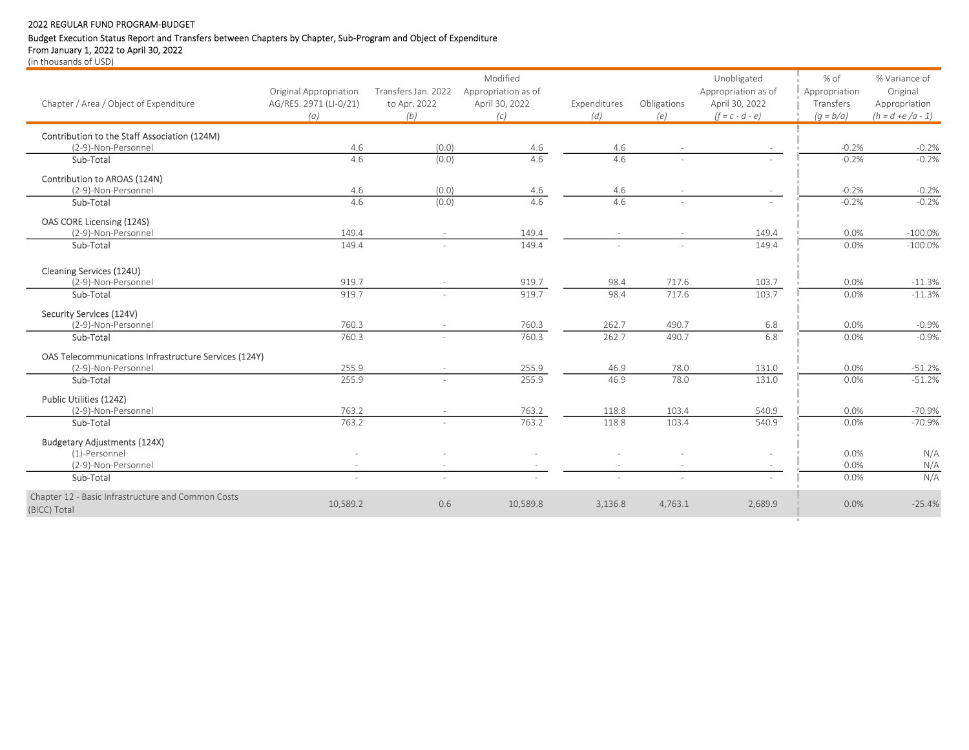# Budget Execution Status Report and Transfers between Chapters by Chapter, Sub-Program and Object of Expenditure

From January 1, 2022 to April 30, 2022

| Chapter / Area / Object of Expenditure                             | <b>Original Appropriation</b><br>AG/RES. 2971 (LI-0/21)<br>(a) | Transfers Jan. 2022<br>to Apr. 2022<br>(b) | Modified<br>Appropriation as of<br>April 30, 2022<br>(c) | Expenditures<br>(d) | Obligations<br>(e) | Unobligated<br>Appropriation as of<br>April 30, 2022<br>$(f = c - d - e)$ | % of<br>Appropriation<br>Transfers<br>$(g = b/a)$ | % Variance of<br>Original<br>Appropriation<br>$(h = d + e/a - 1)$ |
|--------------------------------------------------------------------|----------------------------------------------------------------|--------------------------------------------|----------------------------------------------------------|---------------------|--------------------|---------------------------------------------------------------------------|---------------------------------------------------|-------------------------------------------------------------------|
| Contribution to the Staff Association (124M)                       |                                                                |                                            |                                                          |                     |                    |                                                                           |                                                   |                                                                   |
| (2-9)-Non-Personnel<br>Sub-Total                                   | 4.6<br>4.6                                                     | (0.0)                                      | 4.6<br>4.6                                               | 4.6<br>4.6          |                    |                                                                           | $-0.2%$<br>$-0.2%$                                | $-0.2%$<br>$-0.2%$                                                |
|                                                                    |                                                                | (0.0)                                      |                                                          |                     |                    |                                                                           |                                                   |                                                                   |
| Contribution to AROAS (124N)                                       |                                                                |                                            |                                                          |                     |                    |                                                                           |                                                   |                                                                   |
| (2-9)-Non-Personnel                                                | 4.6                                                            | (0.0)                                      | 4.6                                                      | 4.6                 |                    |                                                                           | $-0.2%$                                           | $-0.2%$                                                           |
| Sub-Total                                                          | 4.6                                                            | (0.0)                                      | 4.6                                                      | 4.6                 |                    |                                                                           | $-0.2%$                                           | $-0.2%$                                                           |
| OAS CORE Licensing (124S)                                          |                                                                |                                            |                                                          |                     |                    |                                                                           |                                                   |                                                                   |
| (2-9)-Non-Personnel                                                | 149.4                                                          |                                            | 149.4                                                    |                     |                    | 149.4                                                                     | 0.0%                                              | $-100.0%$                                                         |
| Sub-Total                                                          | 149.4                                                          |                                            | 149.4                                                    |                     |                    | 149.4                                                                     | 0.0%                                              | $-100.0%$                                                         |
| Cleaning Services (124U)                                           |                                                                |                                            |                                                          |                     |                    |                                                                           |                                                   |                                                                   |
| (2-9)-Non-Personnel                                                | 919.7                                                          |                                            | 919.7                                                    | 98.4                | 717.6              | 103.7                                                                     | 0.0%                                              | $-11.3%$                                                          |
| Sub-Total                                                          | 919.7                                                          |                                            | 919.7                                                    | 98.4                | 717.6              | 103.7                                                                     | 0.0%                                              | $-11.3%$                                                          |
| Security Services (124V)                                           |                                                                |                                            |                                                          |                     |                    |                                                                           |                                                   |                                                                   |
| (2-9)-Non-Personnel                                                | 760.3                                                          |                                            | 760.3                                                    | 262.7               | 490.7              | 6.8                                                                       | 0.0%                                              | $-0.9%$                                                           |
| Sub-Total                                                          | 760.3                                                          |                                            | 760.3                                                    | 262.7               | 490.7              | 6.8                                                                       | 0.0%                                              | $-0.9%$                                                           |
| OAS Telecommunications Infrastructure Services (124Y)              |                                                                |                                            |                                                          |                     |                    |                                                                           |                                                   |                                                                   |
| (2-9)-Non-Personnel                                                | 255.9                                                          |                                            | 255.9                                                    | 46.9                | 78.0               | 131.0                                                                     | 0.0%                                              | $-51.2%$                                                          |
| Sub-Total                                                          | 255.9                                                          |                                            | 255.9                                                    | 46.9                | 78.0               | 131.0                                                                     | 0.0%                                              | $-51.2%$                                                          |
| Public Utilities (124Z)                                            |                                                                |                                            |                                                          |                     |                    |                                                                           |                                                   |                                                                   |
| (2-9)-Non-Personnel                                                | 763.2                                                          |                                            | 763.2                                                    | 118.8               | 103.4              | 540.9                                                                     | 0.0%                                              | $-70.9%$                                                          |
| Sub-Total                                                          | 763.2                                                          |                                            | 763.2                                                    | 118.8               | 103.4              | 540.9                                                                     | 0.0%                                              | $-70.9%$                                                          |
| <b>Budgetary Adjustments (124X)</b>                                |                                                                |                                            |                                                          |                     |                    |                                                                           |                                                   |                                                                   |
| (1)-Personnel                                                      |                                                                |                                            |                                                          |                     |                    |                                                                           | 0.0%                                              | N/A                                                               |
| (2-9)-Non-Personnel                                                |                                                                |                                            |                                                          |                     |                    |                                                                           | 0.0%                                              | N/A                                                               |
| Sub-Total                                                          |                                                                | $\sim$                                     |                                                          |                     | $\sim$             |                                                                           | 0.0%                                              | N/A                                                               |
| Chapter 12 - Basic Infrastructure and Common Costs<br>(BICC) Total | 10,589.2                                                       | 0.6                                        | 10,589.8                                                 | 3,136.8             | 4,763.1            | 2,689.9                                                                   | 0.0%                                              | $-25.4%$                                                          |